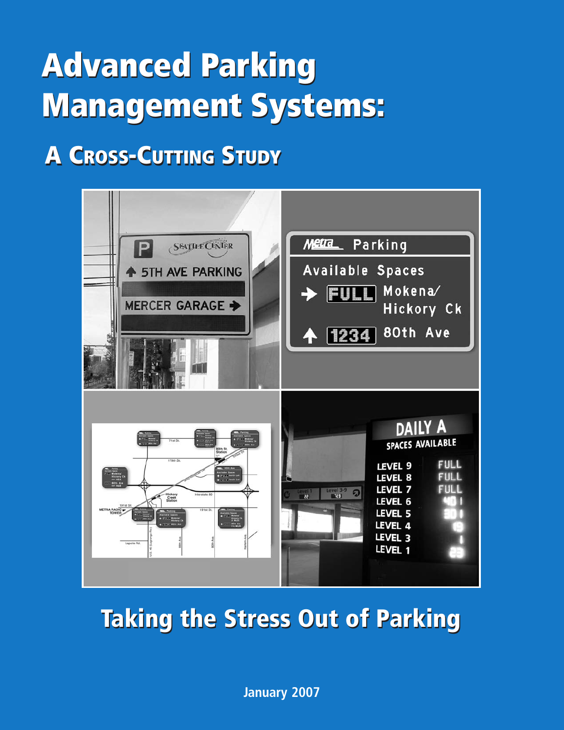# **Advanced Parking Advanced Parking Management Systems: Management Systems:**

## **A CROSS-CUTTING STUDY A CROSS-CUTTING STUDY**



## **Taking the Stress Out of Parking**

**January 2007**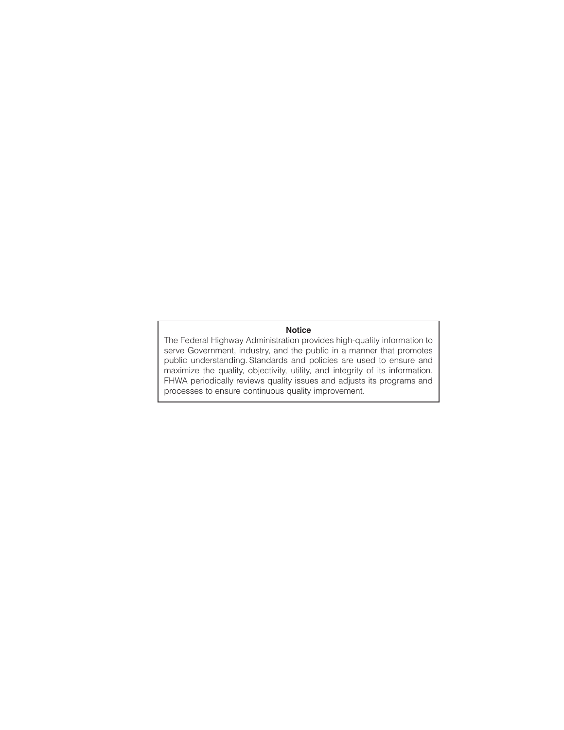#### **Notice**

The Federal Highway Administration provides high-quality information to serve Government, industry, and the public in a manner that promotes public understanding. Standards and policies are used to ensure and maximize the quality, objectivity, utility, and integrity of its information. FHWA periodically reviews quality issues and adjusts its programs and processes to ensure continuous quality improvement.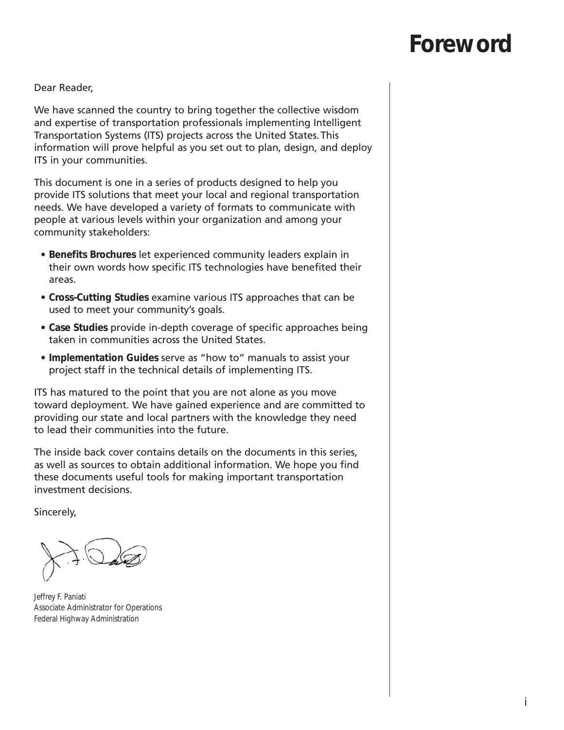## **Foreword**

Dear Reader,

We have scanned the country to bring together the collective wisdom and expertise of transportation professionals implementing Intelligent Transportation Systems (ITS) projects across the United States.This information will prove helpful as you set out to plan, design, and deploy ITS in your communities.

This document is one in a series of products designed to help you provide ITS solutions that meet your local and regional transportation needs. We have developed a variety of formats to communicate with people at various levels within your organization and among your community stakeholders:

- **Benefits Brochures** let experienced community leaders explain in their own words how specific ITS technologies have benefited their areas.
- **Cross-Cutting Studies** examine various ITS approaches that can be used to meet your community's goals.
- **Case Studies** provide in-depth coverage of specific approaches being taken in communities across the United States.
- **Implementation Guides** serve as "how to" manuals to assist your project staff in the technical details of implementing ITS.

ITS has matured to the point that you are not alone as you move toward deployment. We have gained experience and are committed to providing our state and local partners with the knowledge they need to lead their communities into the future.

The inside back cover contains details on the documents in this series, as well as sources to obtain additional information. We hope you find these documents useful tools for making important transportation investment decisions.

Sincerely,

Jeffrey F. Paniati Associate Administrator for Operations Federal Highway Administration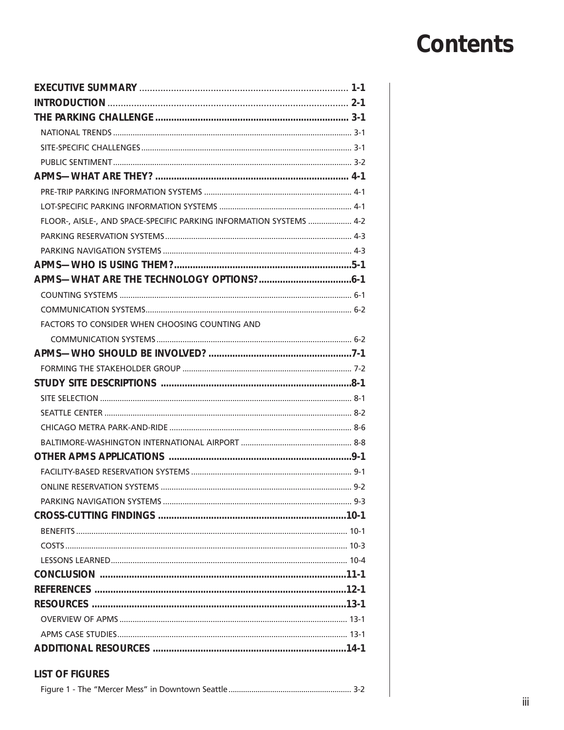## **Contents**

| FLOOR-, AISLE-, AND SPACE-SPECIFIC PARKING INFORMATION SYSTEMS  4-2 |
|---------------------------------------------------------------------|
|                                                                     |
|                                                                     |
|                                                                     |
|                                                                     |
|                                                                     |
|                                                                     |
| FACTORS TO CONSIDER WHEN CHOOSING COUNTING AND                      |
|                                                                     |
|                                                                     |
|                                                                     |
|                                                                     |
|                                                                     |
|                                                                     |
|                                                                     |
|                                                                     |
|                                                                     |
|                                                                     |
|                                                                     |
|                                                                     |
|                                                                     |
|                                                                     |
|                                                                     |
|                                                                     |
|                                                                     |
|                                                                     |
|                                                                     |
|                                                                     |
|                                                                     |
|                                                                     |
| <b>LIST OF FIGURES</b>                                              |
|                                                                     |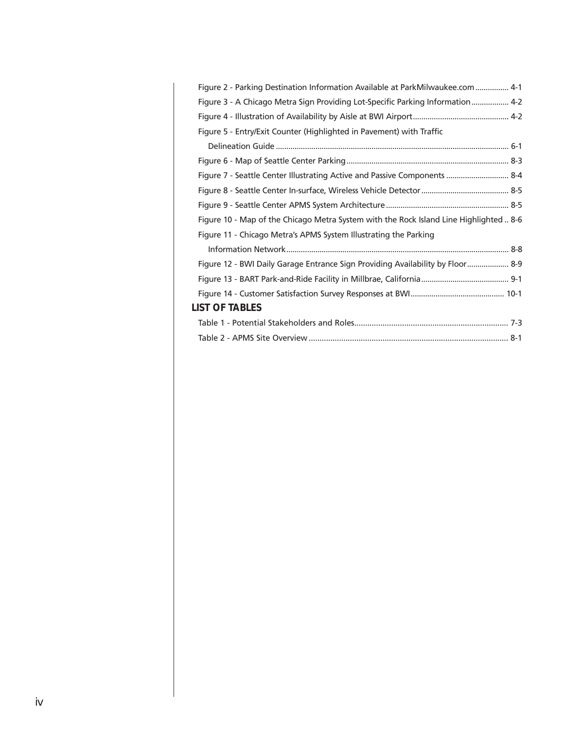| Figure 2 - Parking Destination Information Available at ParkMilwaukee.com  4-1         |  |
|----------------------------------------------------------------------------------------|--|
| Figure 3 - A Chicago Metra Sign Providing Lot-Specific Parking Information 4-2         |  |
|                                                                                        |  |
| Figure 5 - Entry/Exit Counter (Highlighted in Pavement) with Traffic                   |  |
|                                                                                        |  |
|                                                                                        |  |
| Figure 7 - Seattle Center Illustrating Active and Passive Components  8-4              |  |
|                                                                                        |  |
|                                                                                        |  |
| Figure 10 - Map of the Chicago Metra System with the Rock Island Line Highlighted  8-6 |  |
| Figure 11 - Chicago Metra's APMS System Illustrating the Parking                       |  |
|                                                                                        |  |
| Figure 12 - BWI Daily Garage Entrance Sign Providing Availability by Floor 8-9         |  |
|                                                                                        |  |
|                                                                                        |  |
| <b>LIST OF TABLES</b>                                                                  |  |
|                                                                                        |  |
|                                                                                        |  |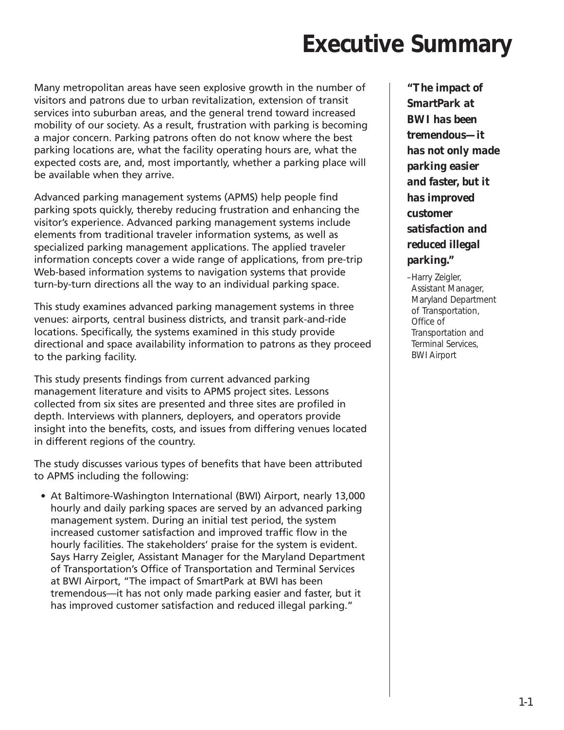## **Executive Summary**

Many metropolitan areas have seen explosive growth in the number of visitors and patrons due to urban revitalization, extension of transit services into suburban areas, and the general trend toward increased mobility of our society. As a result, frustration with parking is becoming a major concern. Parking patrons often do not know where the best parking locations are, what the facility operating hours are, what the expected costs are, and, most importantly, whether a parking place will be available when they arrive.

Advanced parking management systems (APMS) help people find parking spots quickly, thereby reducing frustration and enhancing the visitor's experience. Advanced parking management systems include elements from traditional traveler information systems, as well as specialized parking management applications. The applied traveler information concepts cover a wide range of applications, from pre-trip Web-based information systems to navigation systems that provide turn-by-turn directions all the way to an individual parking space.

This study examines advanced parking management systems in three venues: airports, central business districts, and transit park-and-ride locations. Specifically, the systems examined in this study provide directional and space availability information to patrons as they proceed to the parking facility.

This study presents findings from current advanced parking management literature and visits to APMS project sites. Lessons collected from six sites are presented and three sites are profiled in depth. Interviews with planners, deployers, and operators provide insight into the benefits, costs, and issues from differing venues located in different regions of the country.

The study discusses various types of benefits that have been attributed to APMS including the following:

• At Baltimore-Washington International (BWI) Airport, nearly 13,000 hourly and daily parking spaces are served by an advanced parking management system. During an initial test period, the system increased customer satisfaction and improved traffic flow in the hourly facilities. The stakeholders' praise for the system is evident. Says Harry Zeigler, Assistant Manager for the Maryland Department of Transportation's Office of Transportation and Terminal Services at BWI Airport, "The impact of SmartPark at BWI has been tremendous—it has not only made parking easier and faster, but it has improved customer satisfaction and reduced illegal parking."

*"The impact of SmartPark at BWI has been tremendous—it has not only made parking easier and faster, but it has improved customer satisfaction and reduced illegal parking."*

–Harry Zeigler, Assistant Manager, Maryland Department of Transportation, Office of Transportation and Terminal Services, BWI Airport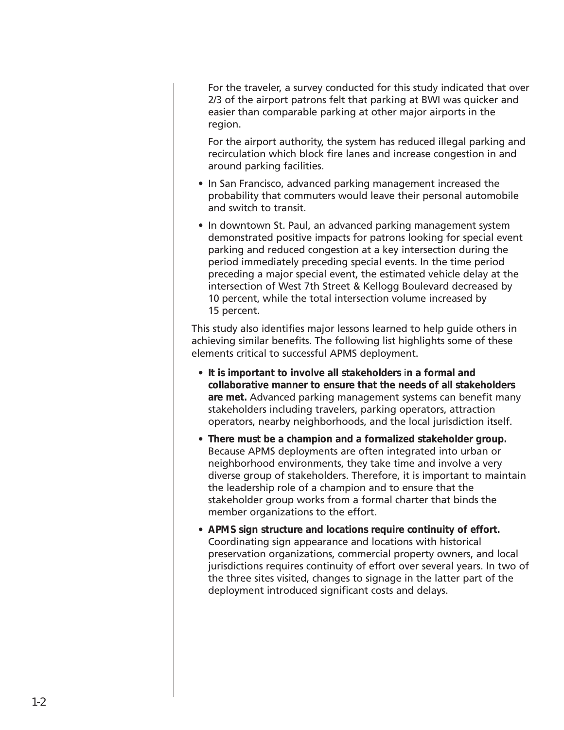For the traveler, a survey conducted for this study indicated that over 2/3 of the airport patrons felt that parking at BWI was quicker and easier than comparable parking at other major airports in the region.

For the airport authority, the system has reduced illegal parking and recirculation which block fire lanes and increase congestion in and around parking facilities.

- In San Francisco, advanced parking management increased the probability that commuters would leave their personal automobile and switch to transit.
- In downtown St. Paul, an advanced parking management system demonstrated positive impacts for patrons looking for special event parking and reduced congestion at a key intersection during the period immediately preceding special events. In the time period preceding a major special event, the estimated vehicle delay at the intersection of West 7th Street & Kellogg Boulevard decreased by 10 percent, while the total intersection volume increased by 15 percent.

This study also identifies major lessons learned to help guide others in achieving similar benefits. The following list highlights some of these elements critical to successful APMS deployment.

- **It is important to involve all stakeholders** i**n a formal and collaborative manner to ensure that the needs of all stakeholders are met.** Advanced parking management systems can benefit many stakeholders including travelers, parking operators, attraction operators, nearby neighborhoods, and the local jurisdiction itself.
- **There must be a champion and a formalized stakeholder group.** Because APMS deployments are often integrated into urban or neighborhood environments, they take time and involve a very diverse group of stakeholders. Therefore, it is important to maintain the leadership role of a champion and to ensure that the stakeholder group works from a formal charter that binds the member organizations to the effort.
- **APMS sign structure and locations require continuity of effort.** Coordinating sign appearance and locations with historical preservation organizations, commercial property owners, and local jurisdictions requires continuity of effort over several years. In two of the three sites visited, changes to signage in the latter part of the deployment introduced significant costs and delays.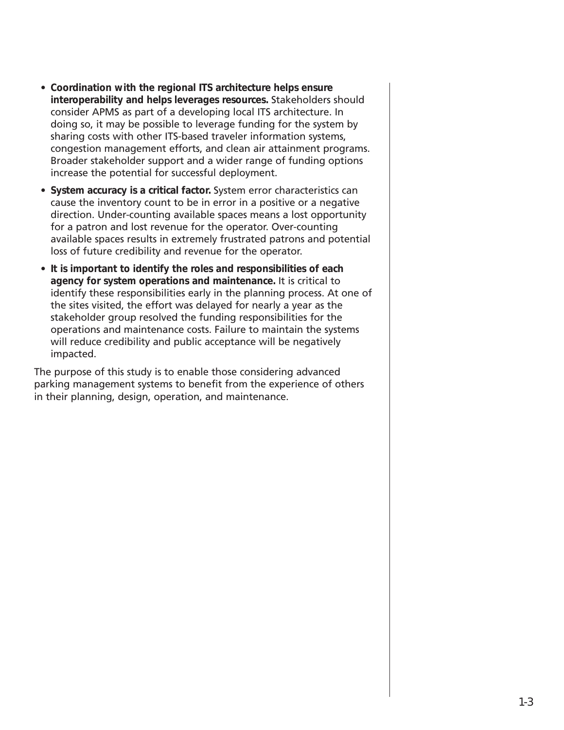- **Coordination with the regional ITS architecture helps ensure interoperability and helps leverages resources.** Stakeholders should consider APMS as part of a developing local ITS architecture. In doing so, it may be possible to leverage funding for the system by sharing costs with other ITS-based traveler information systems, congestion management efforts, and clean air attainment programs. Broader stakeholder support and a wider range of funding options increase the potential for successful deployment.
- **System accuracy is a critical factor.** System error characteristics can cause the inventory count to be in error in a positive or a negative direction. Under-counting available spaces means a lost opportunity for a patron and lost revenue for the operator. Over-counting available spaces results in extremely frustrated patrons and potential loss of future credibility and revenue for the operator.
- **It is important to identify the roles and responsibilities of each agency for system operations and maintenance.** It is critical to identify these responsibilities early in the planning process. At one of the sites visited, the effort was delayed for nearly a year as the stakeholder group resolved the funding responsibilities for the operations and maintenance costs. Failure to maintain the systems will reduce credibility and public acceptance will be negatively impacted.

The purpose of this study is to enable those considering advanced parking management systems to benefit from the experience of others in their planning, design, operation, and maintenance.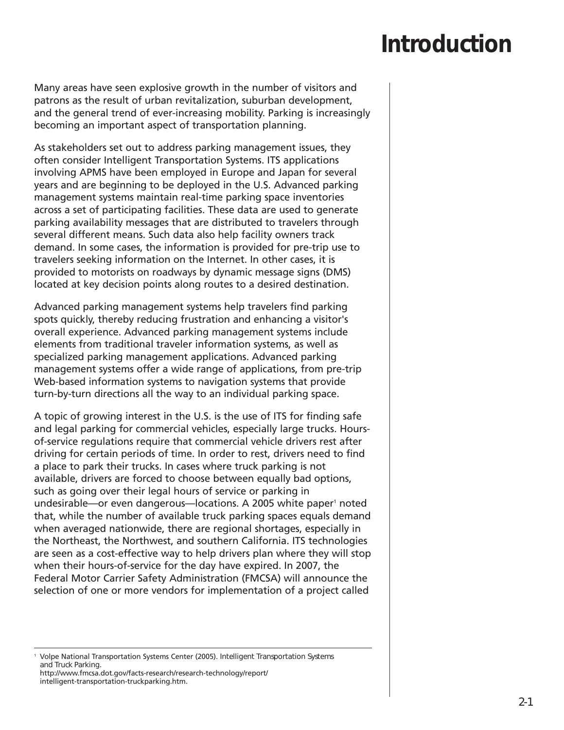## **Introduction**

Many areas have seen explosive growth in the number of visitors and patrons as the result of urban revitalization, suburban development, and the general trend of ever-increasing mobility. Parking is increasingly becoming an important aspect of transportation planning.

As stakeholders set out to address parking management issues, they often consider Intelligent Transportation Systems. ITS applications involving APMS have been employed in Europe and Japan for several years and are beginning to be deployed in the U.S. Advanced parking management systems maintain real-time parking space inventories across a set of participating facilities. These data are used to generate parking availability messages that are distributed to travelers through several different means. Such data also help facility owners track demand. In some cases, the information is provided for pre-trip use to travelers seeking information on the Internet. In other cases, it is provided to motorists on roadways by dynamic message signs (DMS) located at key decision points along routes to a desired destination.

Advanced parking management systems help travelers find parking spots quickly, thereby reducing frustration and enhancing a visitor's overall experience. Advanced parking management systems include elements from traditional traveler information systems, as well as specialized parking management applications. Advanced parking management systems offer a wide range of applications, from pre-trip Web-based information systems to navigation systems that provide turn-by-turn directions all the way to an individual parking space.

A topic of growing interest in the U.S. is the use of ITS for finding safe and legal parking for commercial vehicles, especially large trucks. Hoursof-service regulations require that commercial vehicle drivers rest after driving for certain periods of time. In order to rest, drivers need to find a place to park their trucks. In cases where truck parking is not available, drivers are forced to choose between equally bad options, such as going over their legal hours of service or parking in undesirable—or even dangerous—locations. A 2005 white paper<sup>1</sup> noted that, while the number of available truck parking spaces equals demand when averaged nationwide, there are regional shortages, especially in the Northeast, the Northwest, and southern California. ITS technologies are seen as a cost-effective way to help drivers plan where they will stop when their hours-of-service for the day have expired. In 2007, the Federal Motor Carrier Safety Administration (FMCSA) will announce the selection of one or more vendors for implementation of a project called

<sup>1</sup> Volpe National Transportation Systems Center (2005). *Intelligent Transportation Systems and Truck Parking.* http://www.fmcsa.dot.gov/facts-research/research-technology/report/ intelligent-transportation-truckparking.htm.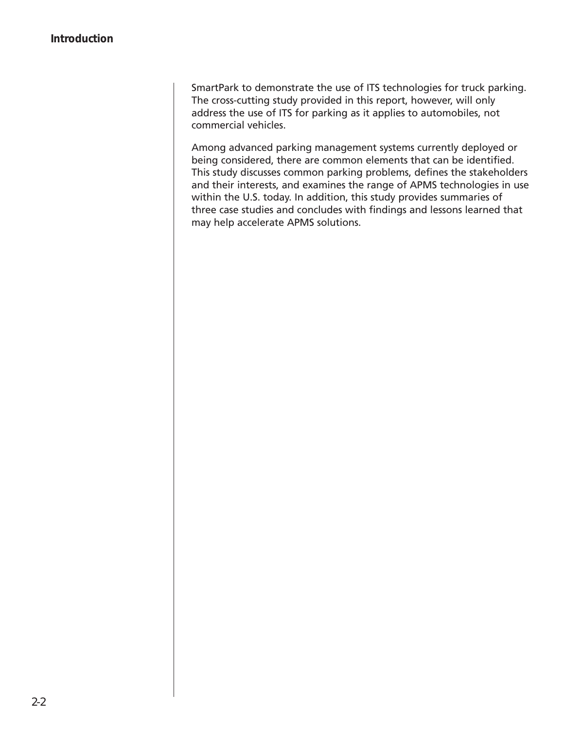SmartPark to demonstrate the use of ITS technologies for truck parking. The cross-cutting study provided in this report, however, will only address the use of ITS for parking as it applies to automobiles, not commercial vehicles.

Among advanced parking management systems currently deployed or being considered, there are common elements that can be identified. This study discusses common parking problems, defines the stakeholders and their interests, and examines the range of APMS technologies in use within the U.S. today. In addition, this study provides summaries of three case studies and concludes with findings and lessons learned that may help accelerate APMS solutions.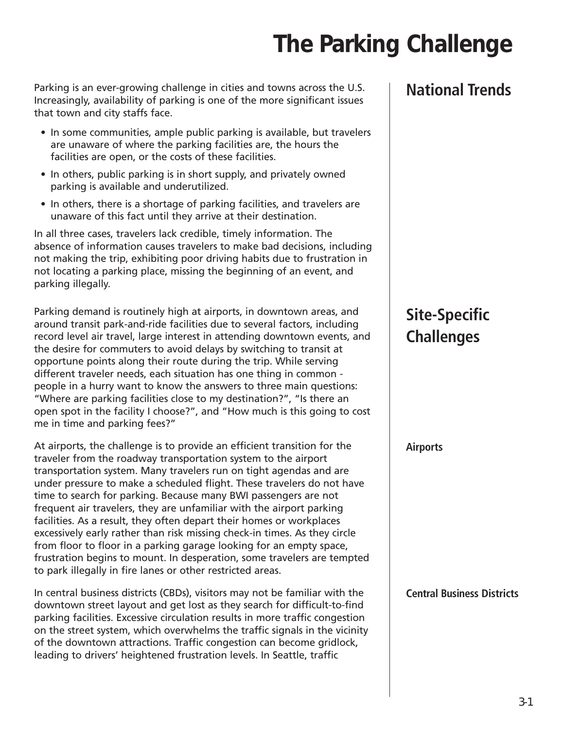## **The Parking Challenge**

Parking is an ever-growing challenge in cities and towns across the U.S. Increasingly, availability of parking is one of the more significant issues that town and city staffs face.

- In some communities, ample public parking is available, but travelers are unaware of where the parking facilities are, the hours the facilities are open, or the costs of these facilities.
- In others, public parking is in short supply, and privately owned parking is available and underutilized.
- In others, there is a shortage of parking facilities, and travelers are unaware of this fact until they arrive at their destination.

In all three cases, travelers lack credible, timely information. The absence of information causes travelers to make bad decisions, including not making the trip, exhibiting poor driving habits due to frustration in not locating a parking place, missing the beginning of an event, and parking illegally.

Parking demand is routinely high at airports, in downtown areas, and around transit park-and-ride facilities due to several factors, including record level air travel, large interest in attending downtown events, and the desire for commuters to avoid delays by switching to transit at opportune points along their route during the trip. While serving different traveler needs, each situation has one thing in common people in a hurry want to know the answers to three main questions: "Where are parking facilities close to my destination?", "Is there an open spot in the facility I choose?", and "How much is this going to cost me in time and parking fees?"

At airports, the challenge is to provide an efficient transition for the traveler from the roadway transportation system to the airport transportation system. Many travelers run on tight agendas and are under pressure to make a scheduled flight. These travelers do not have time to search for parking. Because many BWI passengers are not frequent air travelers, they are unfamiliar with the airport parking facilities. As a result, they often depart their homes or workplaces excessively early rather than risk missing check-in times. As they circle from floor to floor in a parking garage looking for an empty space, frustration begins to mount. In desperation, some travelers are tempted to park illegally in fire lanes or other restricted areas.

In central business districts (CBDs), visitors may not be familiar with the downtown street layout and get lost as they search for difficult-to-find parking facilities. Excessive circulation results in more traffic congestion on the street system, which overwhelms the traffic signals in the vicinity of the downtown attractions. Traffic congestion can become gridlock, leading to drivers' heightened frustration levels. In Seattle, traffic

#### **National Trends**

### **Site-Specific Challenges**

#### **Airports**

**Central Business Districts**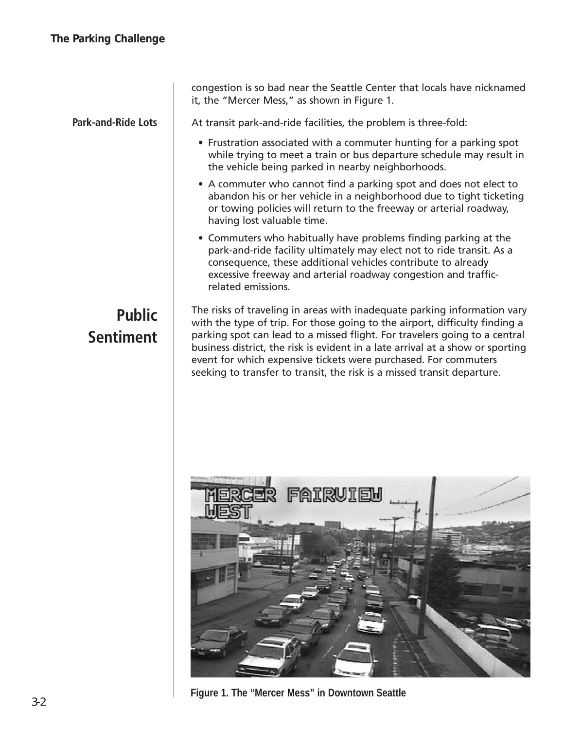congestion is so bad near the Seattle Center that locals have nicknamed it, the "Mercer Mess," as shown in Figure 1. **Park-and-Ride Lots**At transit park-and-ride facilities, the problem is three-fold: • Frustration associated with a commuter hunting for a parking spot while trying to meet a train or bus departure schedule may result in the vehicle being parked in nearby neighborhoods. • A commuter who cannot find a parking spot and does not elect to abandon his or her vehicle in a neighborhood due to tight ticketing or towing policies will return to the freeway or arterial roadway, having lost valuable time. • Commuters who habitually have problems finding parking at the park-and-ride facility ultimately may elect not to ride transit. As a consequence, these additional vehicles contribute to already excessive freeway and arterial roadway congestion and trafficrelated emissions. The risks of traveling in areas with inadequate parking information vary **Public** with the type of trip. For those going to the airport, difficulty finding a **Sentiment** parking spot can lead to a missed flight. For travelers going to a central business district, the risk is evident in a late arrival at a show or sporting event for which expensive tickets were purchased. For commuters seeking to transfer to transit, the risk is a missed transit departure. FAIRUIEH

**Figure 1. The "Mercer Mess" in Downtown Seattle**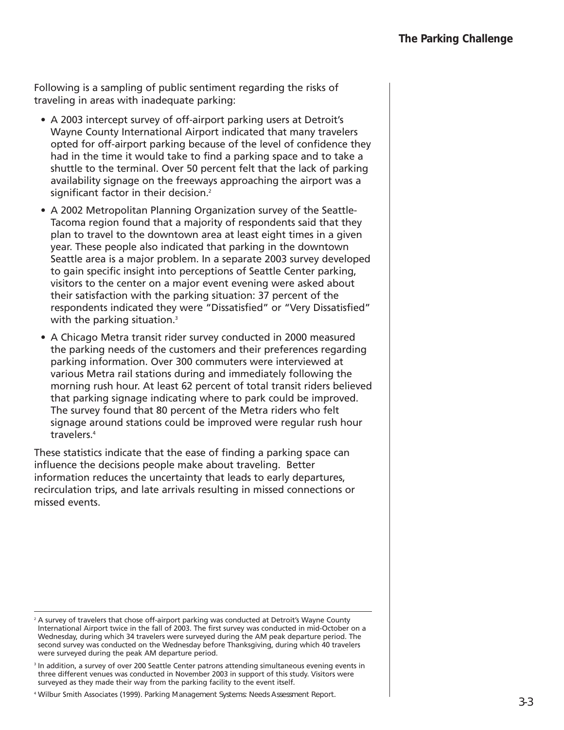Following is a sampling of public sentiment regarding the risks of traveling in areas with inadequate parking:

- A 2003 intercept survey of off-airport parking users at Detroit's Wayne County International Airport indicated that many travelers opted for off-airport parking because of the level of confidence they had in the time it would take to find a parking space and to take a shuttle to the terminal. Over 50 percent felt that the lack of parking availability signage on the freeways approaching the airport was a significant factor in their decision.<sup>2</sup>
- A 2002 Metropolitan Planning Organization survey of the Seattle-Tacoma region found that a majority of respondents said that they plan to travel to the downtown area at least eight times in a given year. These people also indicated that parking in the downtown Seattle area is a major problem. In a separate 2003 survey developed to gain specific insight into perceptions of Seattle Center parking, visitors to the center on a major event evening were asked about their satisfaction with the parking situation: 37 percent of the respondents indicated they were "Dissatisfied" or "Very Dissatisfied" with the parking situation.<sup>3</sup>
- A Chicago Metra transit rider survey conducted in 2000 measured the parking needs of the customers and their preferences regarding parking information. Over 300 commuters were interviewed at various Metra rail stations during and immediately following the morning rush hour. At least 62 percent of total transit riders believed that parking signage indicating where to park could be improved. The survey found that 80 percent of the Metra riders who felt signage around stations could be improved were regular rush hour travelers.4

These statistics indicate that the ease of finding a parking space can influence the decisions people make about traveling. Better information reduces the uncertainty that leads to early departures, recirculation trips, and late arrivals resulting in missed connections or missed events.

 $2A$  survey of travelers that chose off-airport parking was conducted at Detroit's Wayne County International Airport twice in the fall of 2003. The first survey was conducted in mid-October on a Wednesday, during which 34 travelers were surveyed during the AM peak departure period. The second survey was conducted on the Wednesday before Thanksgiving, during which 40 travelers were surveyed during the peak AM departure period.

<sup>&</sup>lt;sup>3</sup> In addition, a survey of over 200 Seattle Center patrons attending simultaneous evening events in three different venues was conducted in November 2003 in support of this study. Visitors were surveyed as they made their way from the parking facility to the event itself.

<sup>4</sup> Wilbur Smith Associates (1999). *Parking Management Systems: Needs Assessment Report.*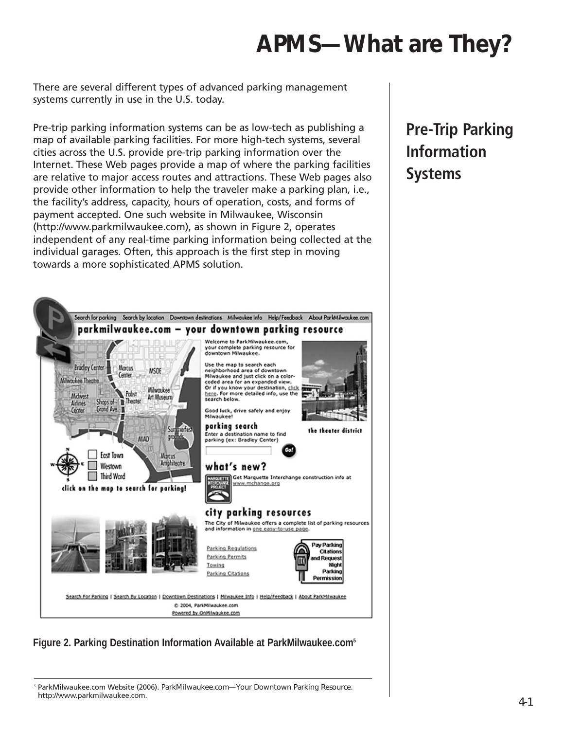## **APMS—What are They?**

There are several different types of advanced parking management systems currently in use in the U.S. today.

Pre-trip parking information systems can be as low-tech as publishing a map of available parking facilities. For more high-tech systems, several cities across the U.S. provide pre-trip parking information over the Internet. These Web pages provide a map of where the parking facilities are relative to major access routes and attractions. These Web pages also provide other information to help the traveler make a parking plan, i.e., the facility's address, capacity, hours of operation, costs, and forms of payment accepted. One such website in Milwaukee, Wisconsin (http://www.parkmilwaukee.com), as shown in Figure 2, operates independent of any real-time parking information being collected at the individual garages. Often, this approach is the first step in moving towards a more sophisticated APMS solution.



#### **Figure 2. Parking Destination Information Available at ParkMilwaukee.com5**

<sup>5</sup> ParkMilwaukee.com Website (2006). *ParkMilwaukee.com—Your Downtown Parking Resource.* http://www.parkmilwaukee.com.

### **Pre-Trip Parking Information Systems**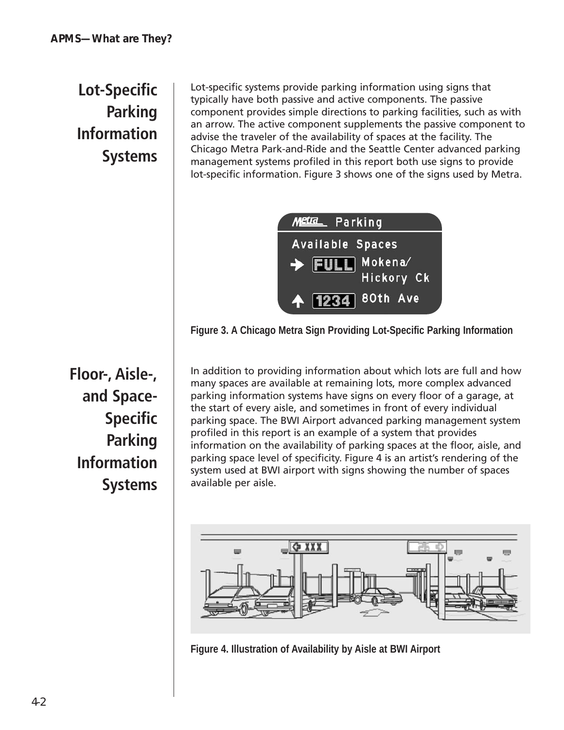### **Lot-Specific Parking Information Systems**

Lot-specific systems provide parking information using signs that typically have both passive and active components. The passive component provides simple directions to parking facilities, such as with an arrow. The active component supplements the passive component to advise the traveler of the availability of spaces at the facility. The Chicago Metra Park-and-Ride and the Seattle Center advanced parking management systems profiled in this report both use signs to provide lot-specific information. Figure 3 shows one of the signs used by Metra.



**Figure 3. A Chicago Metra Sign Providing Lot-Specific Parking Information**

In addition to providing information about which lots are full and how many spaces are available at remaining lots, more complex advanced parking information systems have signs on every floor of a garage, at the start of every aisle, and sometimes in front of every individual parking space. The BWI Airport advanced parking management system profiled in this report is an example of a system that provides information on the availability of parking spaces at the floor, aisle, and parking space level of specificity. Figure 4 is an artist's rendering of the system used at BWI airport with signs showing the number of spaces available per aisle.



**Figure 4. Illustration of Availability by Aisle at BWI Airport**

**Floor-, Aisle-, and Space-Specific Parking Information Systems**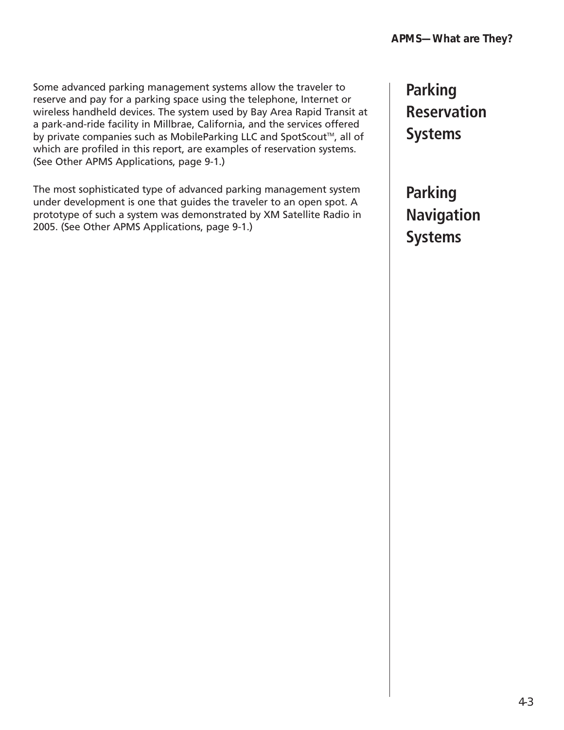Some advanced parking management systems allow the traveler to reserve and pay for a parking space using the telephone, Internet or wireless handheld devices. The system used by Bay Area Rapid Transit at a park-and-ride facility in Millbrae, California, and the services offered by private companies such as MobileParking LLC and SpotScout™, all of which are profiled in this report, are examples of reservation systems. (See Other APMS Applications, page 9-1.)

The most sophisticated type of advanced parking management system under development is one that guides the traveler to an open spot. A prototype of such a system was demonstrated by XM Satellite Radio in 2005. (See Other APMS Applications, page 9-1.)

**Parking Reservation Systems**

**Parking Navigation Systems**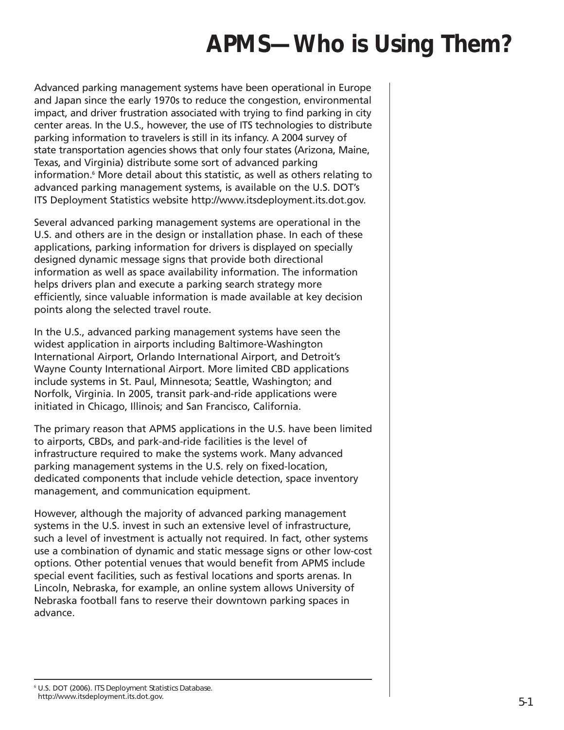## **APMS—Who is Using Them?**

Advanced parking management systems have been operational in Europe and Japan since the early 1970s to reduce the congestion, environmental impact, and driver frustration associated with trying to find parking in city center areas. In the U.S., however, the use of ITS technologies to distribute parking information to travelers is still in its infancy. A 2004 survey of state transportation agencies shows that only four states (Arizona, Maine, Texas, and Virginia) distribute some sort of advanced parking information.<sup>6</sup> More detail about this statistic, as well as others relating to advanced parking management systems, is available on the U.S. DOT's ITS Deployment Statistics website http://www.itsdeployment.its.dot.gov.

Several advanced parking management systems are operational in the U.S. and others are in the design or installation phase. In each of these applications, parking information for drivers is displayed on specially designed dynamic message signs that provide both directional information as well as space availability information. The information helps drivers plan and execute a parking search strategy more efficiently, since valuable information is made available at key decision points along the selected travel route.

In the U.S., advanced parking management systems have seen the widest application in airports including Baltimore-Washington International Airport, Orlando International Airport, and Detroit's Wayne County International Airport. More limited CBD applications include systems in St. Paul, Minnesota; Seattle, Washington; and Norfolk, Virginia. In 2005, transit park-and-ride applications were initiated in Chicago, Illinois; and San Francisco, California.

The primary reason that APMS applications in the U.S. have been limited to airports, CBDs, and park-and-ride facilities is the level of infrastructure required to make the systems work. Many advanced parking management systems in the U.S. rely on fixed-location, dedicated components that include vehicle detection, space inventory management, and communication equipment.

However, although the majority of advanced parking management systems in the U.S. invest in such an extensive level of infrastructure, such a level of investment is actually not required. In fact, other systems use a combination of dynamic and static message signs or other low-cost options. Other potential venues that would benefit from APMS include special event facilities, such as festival locations and sports arenas. In Lincoln, Nebraska, for example, an online system allows University of Nebraska football fans to reserve their downtown parking spaces in advance.

<sup>6</sup> U.S. DOT (2006). *ITS Deployment Statistics Database.* http://www.itsdeployment.its.dot.gov.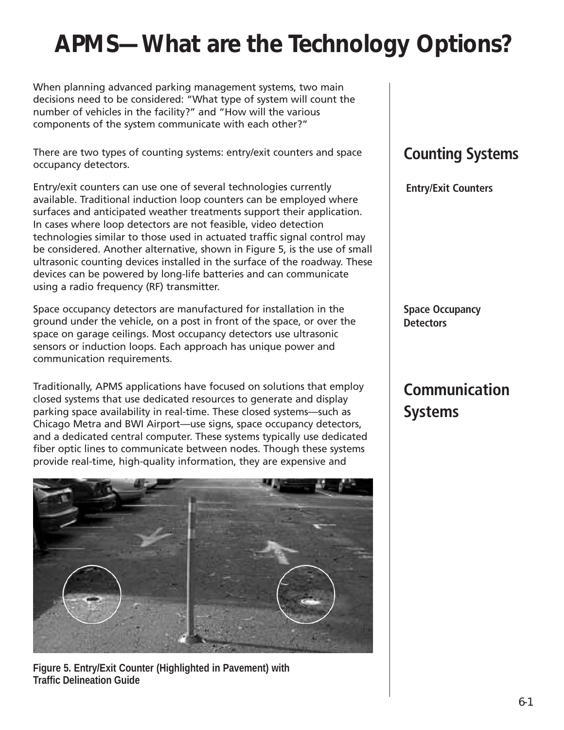## **APMS—What are the Technology Options?**

When planning advanced parking management systems, two main decisions need to be considered: "What type of system will count the number of vehicles in the facility?" and "How will the various components of the system communicate with each other?"

There are two types of counting systems: entry/exit counters and space occupancy detectors.

Entry/exit counters can use one of several technologies currently available. Traditional induction loop counters can be employed where surfaces and anticipated weather treatments support their application. In cases where loop detectors are not feasible, video detection technologies similar to those used in actuated traffic signal control may be considered. Another alternative, shown in Figure 5, is the use of small ultrasonic counting devices installed in the surface of the roadway. These devices can be powered by long-life batteries and can communicate using a radio frequency (RF) transmitter.

Space occupancy detectors are manufactured for installation in the ground under the vehicle, on a post in front of the space, or over the space on garage ceilings. Most occupancy detectors use ultrasonic sensors or induction loops. Each approach has unique power and communication requirements.

Traditionally, APMS applications have focused on solutions that employ closed systems that use dedicated resources to generate and display parking space availability in real-time. These closed systems—such as Chicago Metra and BWI Airport—use signs, space occupancy detectors, and a dedicated central computer. These systems typically use dedicated fiber optic lines to communicate between nodes. Though these systems provide real-time, high-quality information, they are expensive and



**Figure 5. Entry/Exit Counter (Highlighted in Pavement) with Traffic Delineation Guide**

### **Counting Systems**

**Entry/Exit Counters**

**Space Occupancy Detectors**

### **Communication Systems**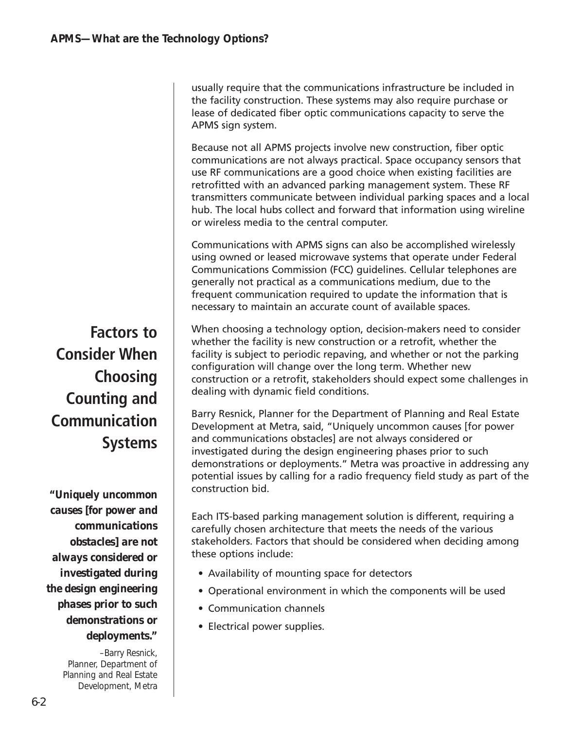usually require that the communications infrastructure be included in the facility construction. These systems may also require purchase or lease of dedicated fiber optic communications capacity to serve the APMS sign system.

Because not all APMS projects involve new construction, fiber optic communications are not always practical. Space occupancy sensors that use RF communications are a good choice when existing facilities are retrofitted with an advanced parking management system. These RF transmitters communicate between individual parking spaces and a local hub. The local hubs collect and forward that information using wireline or wireless media to the central computer.

Communications with APMS signs can also be accomplished wirelessly using owned or leased microwave systems that operate under Federal Communications Commission (FCC) guidelines. Cellular telephones are generally not practical as a communications medium, due to the frequent communication required to update the information that is necessary to maintain an accurate count of available spaces.

When choosing a technology option, decision-makers need to consider whether the facility is new construction or a retrofit, whether the facility is subject to periodic repaving, and whether or not the parking configuration will change over the long term. Whether new construction or a retrofit, stakeholders should expect some challenges in dealing with dynamic field conditions.

Barry Resnick, Planner for the Department of Planning and Real Estate Development at Metra, said, "Uniquely uncommon causes [for power and communications obstacles] are not always considered or investigated during the design engineering phases prior to such demonstrations or deployments." Metra was proactive in addressing any potential issues by calling for a radio frequency field study as part of the construction bid.

Each ITS-based parking management solution is different, requiring a carefully chosen architecture that meets the needs of the various stakeholders. Factors that should be considered when deciding among these options include:

- Availability of mounting space for detectors
- Operational environment in which the components will be used
- Communication channels
- Electrical power supplies.

**Factors to Consider When Choosing Counting and Communication Systems**

*"Uniquely uncommon causes [for power and communications obstacles] are not always considered or investigated during the design engineering phases prior to such demonstrations or deployments."*

> –Barry Resnick, Planner, Department of Planning and Real Estate Development, Metra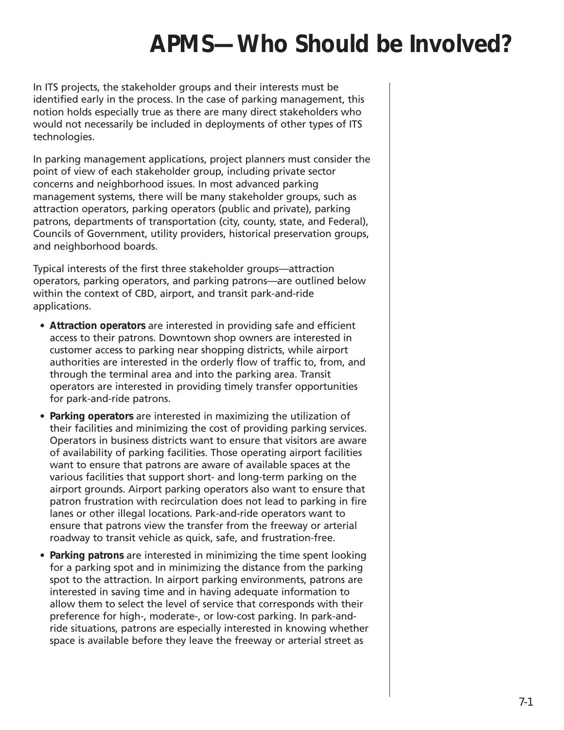## **APMS—Who Should be Involved?**

In ITS projects, the stakeholder groups and their interests must be identified early in the process. In the case of parking management, this notion holds especially true as there are many direct stakeholders who would not necessarily be included in deployments of other types of ITS technologies.

In parking management applications, project planners must consider the point of view of each stakeholder group, including private sector concerns and neighborhood issues. In most advanced parking management systems, there will be many stakeholder groups, such as attraction operators, parking operators (public and private), parking patrons, departments of transportation (city, county, state, and Federal), Councils of Government, utility providers, historical preservation groups, and neighborhood boards.

Typical interests of the first three stakeholder groups—attraction operators, parking operators, and parking patrons—are outlined below within the context of CBD, airport, and transit park-and-ride applications.

- **Attraction operators** are interested in providing safe and efficient access to their patrons. Downtown shop owners are interested in customer access to parking near shopping districts, while airport authorities are interested in the orderly flow of traffic to, from, and through the terminal area and into the parking area. Transit operators are interested in providing timely transfer opportunities for park-and-ride patrons.
- **Parking operators** are interested in maximizing the utilization of their facilities and minimizing the cost of providing parking services. Operators in business districts want to ensure that visitors are aware of availability of parking facilities. Those operating airport facilities want to ensure that patrons are aware of available spaces at the various facilities that support short- and long-term parking on the airport grounds. Airport parking operators also want to ensure that patron frustration with recirculation does not lead to parking in fire lanes or other illegal locations. Park-and-ride operators want to ensure that patrons view the transfer from the freeway or arterial roadway to transit vehicle as quick, safe, and frustration-free.
- **Parking patrons** are interested in minimizing the time spent looking for a parking spot and in minimizing the distance from the parking spot to the attraction. In airport parking environments, patrons are interested in saving time and in having adequate information to allow them to select the level of service that corresponds with their preference for high-, moderate-, or low-cost parking. In park-andride situations, patrons are especially interested in knowing whether space is available before they leave the freeway or arterial street as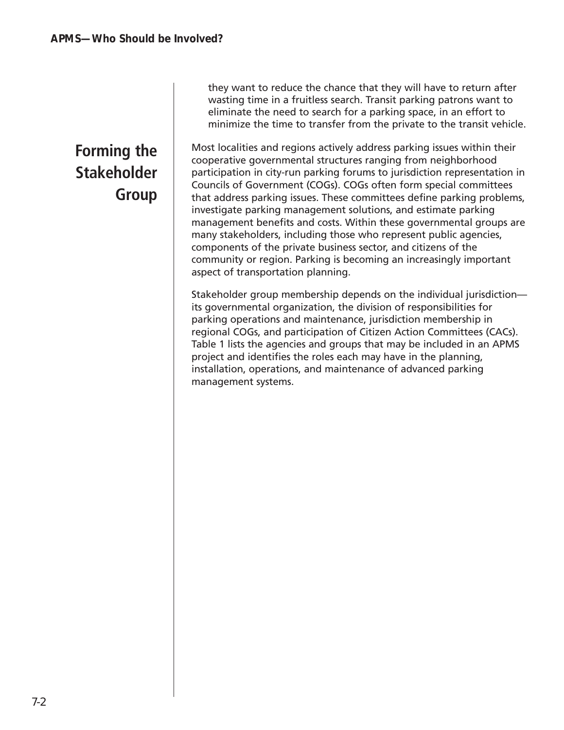### **Forming the Stakeholder Group**

they want to reduce the chance that they will have to return after wasting time in a fruitless search. Transit parking patrons want to eliminate the need to search for a parking space, in an effort to minimize the time to transfer from the private to the transit vehicle.

Most localities and regions actively address parking issues within their cooperative governmental structures ranging from neighborhood participation in city-run parking forums to jurisdiction representation in Councils of Government (COGs). COGs often form special committees that address parking issues. These committees define parking problems, investigate parking management solutions, and estimate parking management benefits and costs. Within these governmental groups are many stakeholders, including those who represent public agencies, components of the private business sector, and citizens of the community or region. Parking is becoming an increasingly important aspect of transportation planning.

Stakeholder group membership depends on the individual jurisdiction its governmental organization, the division of responsibilities for parking operations and maintenance, jurisdiction membership in regional COGs, and participation of Citizen Action Committees (CACs). Table 1 lists the agencies and groups that may be included in an APMS project and identifies the roles each may have in the planning, installation, operations, and maintenance of advanced parking management systems.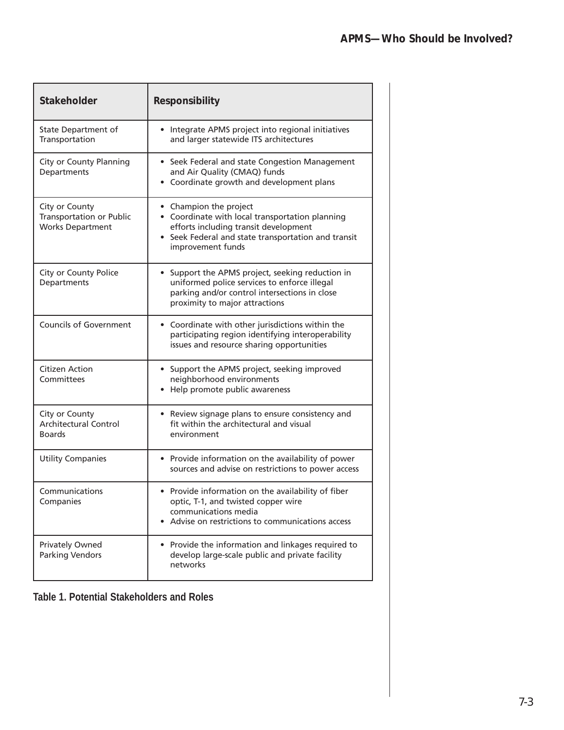| <b>Stakeholder</b>                                                           | <b>Responsibility</b>                                                                                                                                                                          |
|------------------------------------------------------------------------------|------------------------------------------------------------------------------------------------------------------------------------------------------------------------------------------------|
| State Department of<br>Transportation                                        | • Integrate APMS project into regional initiatives<br>and larger statewide ITS architectures                                                                                                   |
| City or County Planning<br>Departments                                       | • Seek Federal and state Congestion Management<br>and Air Quality (CMAQ) funds<br>• Coordinate growth and development plans                                                                    |
| City or County<br><b>Transportation or Public</b><br><b>Works Department</b> | • Champion the project<br>• Coordinate with local transportation planning<br>efforts including transit development<br>• Seek Federal and state transportation and transit<br>improvement funds |
| City or County Police<br>Departments                                         | • Support the APMS project, seeking reduction in<br>uniformed police services to enforce illegal<br>parking and/or control intersections in close<br>proximity to major attractions            |
| <b>Councils of Government</b>                                                | • Coordinate with other jurisdictions within the<br>participating region identifying interoperability<br>issues and resource sharing opportunities                                             |
| <b>Citizen Action</b><br>Committees                                          | • Support the APMS project, seeking improved<br>neighborhood environments<br>• Help promote public awareness                                                                                   |
| City or County<br><b>Architectural Control</b><br><b>Boards</b>              | • Review signage plans to ensure consistency and<br>fit within the architectural and visual<br>environment                                                                                     |
| <b>Utility Companies</b>                                                     | • Provide information on the availability of power<br>sources and advise on restrictions to power access                                                                                       |
| Communications<br>Companies                                                  | • Provide information on the availability of fiber<br>optic, T-1, and twisted copper wire<br>communications media<br>• Advise on restrictions to communications access                         |
| Privately Owned<br><b>Parking Vendors</b>                                    | • Provide the information and linkages required to<br>develop large-scale public and private facility<br>networks                                                                              |

**Table 1. Potential Stakeholders and Roles**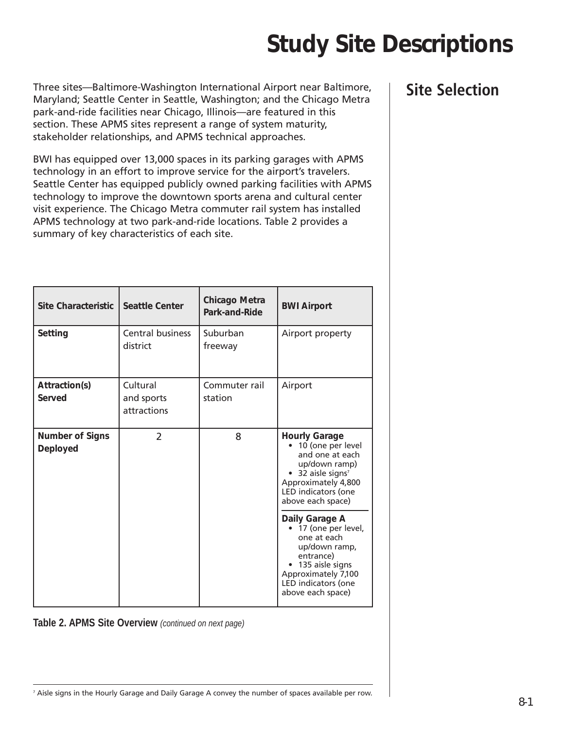## **Study Site Descriptions**

Three sites—Baltimore-Washington International Airport near Baltimore, Maryland; Seattle Center in Seattle, Washington; and the Chicago Metra park-and-ride facilities near Chicago, Illinois—are featured in this section. These APMS sites represent a range of system maturity, stakeholder relationships, and APMS technical approaches.

BWI has equipped over 13,000 spaces in its parking garages with APMS technology in an effort to improve service for the airport's travelers. Seattle Center has equipped publicly owned parking facilities with APMS technology to improve the downtown sports arena and cultural center visit experience. The Chicago Metra commuter rail system has installed APMS technology at two park-and-ride locations. Table 2 provides a summary of key characteristics of each site.

| <b>Site Characteristic</b>                | <b>Seattle Center</b>                 | <b>Chicago Metra</b><br>Park-and-Ride | <b>BWI Airport</b>                                                                                                                                                                          |
|-------------------------------------------|---------------------------------------|---------------------------------------|---------------------------------------------------------------------------------------------------------------------------------------------------------------------------------------------|
| Setting                                   | <b>Central business</b><br>district   | Suburban<br>freeway                   | Airport property                                                                                                                                                                            |
| Attraction(s)<br>Served                   | Cultural<br>and sports<br>attractions | Commuter rail<br>station              | Airport                                                                                                                                                                                     |
| <b>Number of Signs</b><br><b>Deployed</b> | $\mathcal{P}$                         | 8                                     | <b>Hourly Garage</b><br>• 10 (one per level<br>and one at each<br>up/down ramp)<br>$\bullet$ 32 aisle signs <sup>7</sup><br>Approximately 4,800<br>LED indicators (one<br>above each space) |
|                                           |                                       |                                       | Daily Garage A<br>• 17 (one per level,<br>one at each<br>up/down ramp,<br>entrance)<br>• 135 aisle signs<br>Approximately 7,100<br>LED indicators (one<br>above each space)                 |

**Table 2. APMS Site Overview** *(continued on next page)*

#### **Site Selection**

<sup>7</sup> Aisle signs in the Hourly Garage and Daily Garage A convey the number of spaces available per row.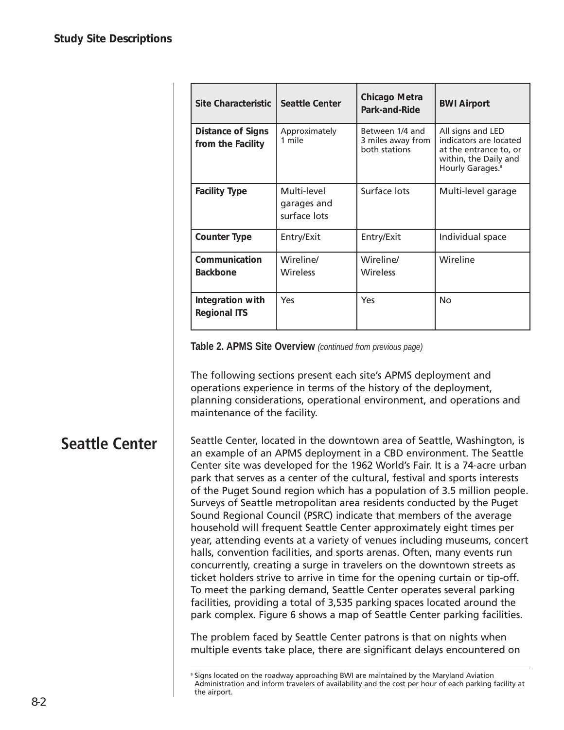| Site Characteristic                           | <b>Seattle Center</b>                      | Chicago Metra<br>Park-and-Ride                        | <b>BWI Airport</b>                                                                                                             |
|-----------------------------------------------|--------------------------------------------|-------------------------------------------------------|--------------------------------------------------------------------------------------------------------------------------------|
| <b>Distance of Signs</b><br>from the Facility | Approximately<br>1 mile                    | Between 1/4 and<br>3 miles away from<br>both stations | All signs and LED<br>indicators are located<br>at the entrance to, or<br>within, the Daily and<br>Hourly Garages. <sup>8</sup> |
| <b>Facility Type</b>                          | Multi-level<br>garages and<br>surface lots | Surface lots                                          | Multi-level garage                                                                                                             |
| <b>Counter Type</b>                           | Entry/Exit                                 | Entry/Exit                                            | Individual space                                                                                                               |
| Communication<br><b>Backbone</b>              | Wireline/<br><b>Wireless</b>               | Wireline/<br>Wireless                                 | Wireline                                                                                                                       |
| Integration with<br><b>Regional ITS</b>       | Yes                                        | Yes                                                   | <b>No</b>                                                                                                                      |

**Table 2. APMS Site Overview** *(continued from previous page)*

The following sections present each site's APMS deployment and operations experience in terms of the history of the deployment, planning considerations, operational environment, and operations and maintenance of the facility.

#### **Seattle Center**

Seattle Center, located in the downtown area of Seattle, Washington, is an example of an APMS deployment in a CBD environment. The Seattle Center site was developed for the 1962 World's Fair. It is a 74-acre urban park that serves as a center of the cultural, festival and sports interests of the Puget Sound region which has a population of 3.5 million people. Surveys of Seattle metropolitan area residents conducted by the Puget Sound Regional Council (PSRC) indicate that members of the average household will frequent Seattle Center approximately eight times per year, attending events at a variety of venues including museums, concert halls, convention facilities, and sports arenas. Often, many events run concurrently, creating a surge in travelers on the downtown streets as ticket holders strive to arrive in time for the opening curtain or tip-off. To meet the parking demand, Seattle Center operates several parking facilities, providing a total of 3,535 parking spaces located around the park complex. Figure 6 shows a map of Seattle Center parking facilities.

The problem faced by Seattle Center patrons is that on nights when multiple events take place, there are significant delays encountered on

<sup>8</sup> Signs located on the roadway approaching BWI are maintained by the Maryland Aviation Administration and inform travelers of availability and the cost per hour of each parking facility at the airport.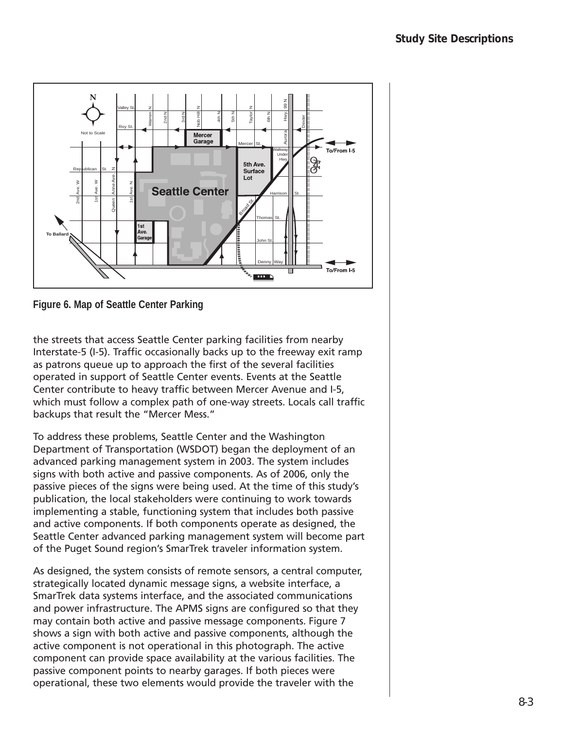

**Figure 6. Map of Seattle Center Parking** 

the streets that access Seattle Center parking facilities from nearby Interstate-5 (I-5). Traffic occasionally backs up to the freeway exit ramp as patrons queue up to approach the first of the several facilities operated in support of Seattle Center events. Events at the Seattle Center contribute to heavy traffic between Mercer Avenue and I-5, which must follow a complex path of one-way streets. Locals call traffic backups that result the "Mercer Mess."

To address these problems, Seattle Center and the Washington Department of Transportation (WSDOT) began the deployment of an advanced parking management system in 2003. The system includes signs with both active and passive components. As of 2006, only the passive pieces of the signs were being used. At the time of this study's publication, the local stakeholders were continuing to work towards implementing a stable, functioning system that includes both passive and active components. If both components operate as designed, the Seattle Center advanced parking management system will become part of the Puget Sound region's SmarTrek traveler information system.

As designed, the system consists of remote sensors, a central computer, strategically located dynamic message signs, a website interface, a SmarTrek data systems interface, and the associated communications and power infrastructure. The APMS signs are configured so that they may contain both active and passive message components. Figure 7 shows a sign with both active and passive components, although the active component is not operational in this photograph. The active component can provide space availability at the various facilities. The passive component points to nearby garages. If both pieces were operational, these two elements would provide the traveler with the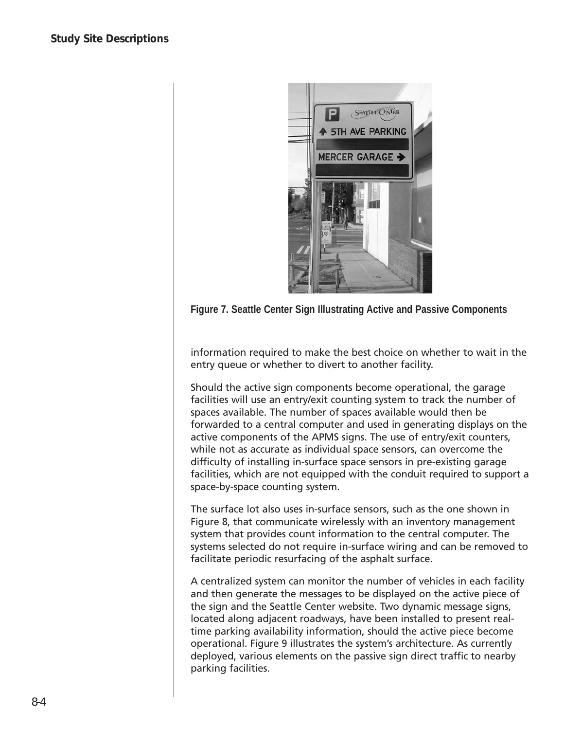

**Figure 7. Seattle Center Sign Illustrating Active and Passive Components**

information required to make the best choice on whether to wait in the entry queue or whether to divert to another facility.

Should the active sign components become operational, the garage facilities will use an entry/exit counting system to track the number of spaces available. The number of spaces available would then be forwarded to a central computer and used in generating displays on the active components of the APMS signs. The use of entry/exit counters, while not as accurate as individual space sensors, can overcome the difficulty of installing in-surface space sensors in pre-existing garage facilities, which are not equipped with the conduit required to support a space-by-space counting system.

The surface lot also uses in-surface sensors, such as the one shown in Figure 8, that communicate wirelessly with an inventory management system that provides count information to the central computer. The systems selected do not require in-surface wiring and can be removed to facilitate periodic resurfacing of the asphalt surface.

A centralized system can monitor the number of vehicles in each facility and then generate the messages to be displayed on the active piece of the sign and the Seattle Center website. Two dynamic message signs, located along adjacent roadways, have been installed to present realtime parking availability information, should the active piece become operational. Figure 9 illustrates the system's architecture. As currently deployed, various elements on the passive sign direct traffic to nearby parking facilities.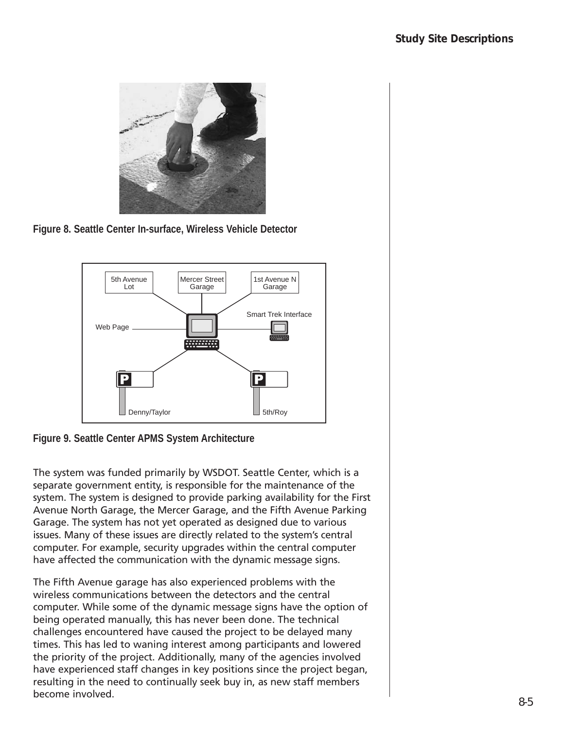

**Figure 8. Seattle Center In-surface, Wireless Vehicle Detector**





The system was funded primarily by WSDOT. Seattle Center, which is a separate government entity, is responsible for the maintenance of the system. The system is designed to provide parking availability for the First Avenue North Garage, the Mercer Garage, and the Fifth Avenue Parking Garage. The system has not yet operated as designed due to various issues. Many of these issues are directly related to the system's central computer. For example, security upgrades within the central computer have affected the communication with the dynamic message signs.

The Fifth Avenue garage has also experienced problems with the wireless communications between the detectors and the central computer. While some of the dynamic message signs have the option of being operated manually, this has never been done. The technical challenges encountered have caused the project to be delayed many times. This has led to waning interest among participants and lowered the priority of the project. Additionally, many of the agencies involved have experienced staff changes in key positions since the project began, resulting in the need to continually seek buy in, as new staff members become involved.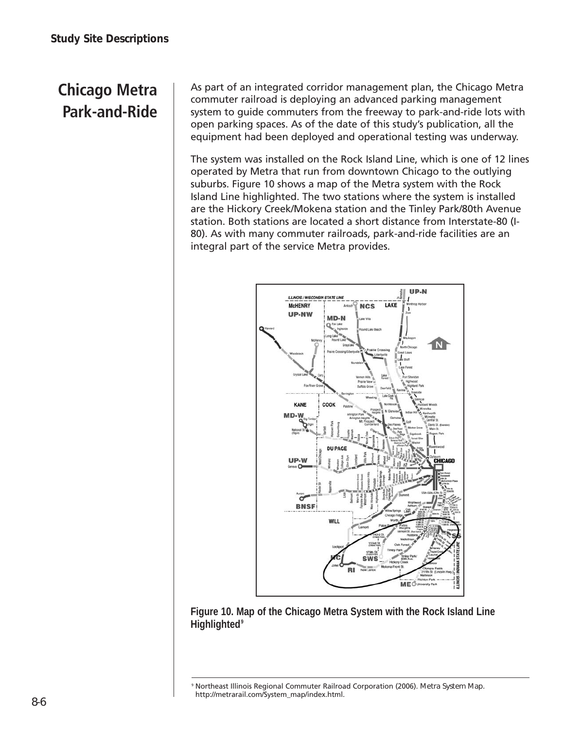### **Chicago Metra Park-and-Ride**

As part of an integrated corridor management plan, the Chicago Metra commuter railroad is deploying an advanced parking management system to guide commuters from the freeway to park-and-ride lots with open parking spaces. As of the date of this study's publication, all the equipment had been deployed and operational testing was underway.

The system was installed on the Rock Island Line, which is one of 12 lines operated by Metra that run from downtown Chicago to the outlying suburbs. Figure 10 shows a map of the Metra system with the Rock Island Line highlighted. The two stations where the system is installed are the Hickory Creek/Mokena station and the Tinley Park/80th Avenue station. Both stations are located a short distance from Interstate-80 (I-80). As with many commuter railroads, park-and-ride facilities are an integral part of the service Metra provides.





<sup>9</sup> Northeast Illinois Regional Commuter Railroad Corporation (2006). *Metra System Map.* http://metrarail.com/System\_map/index.html.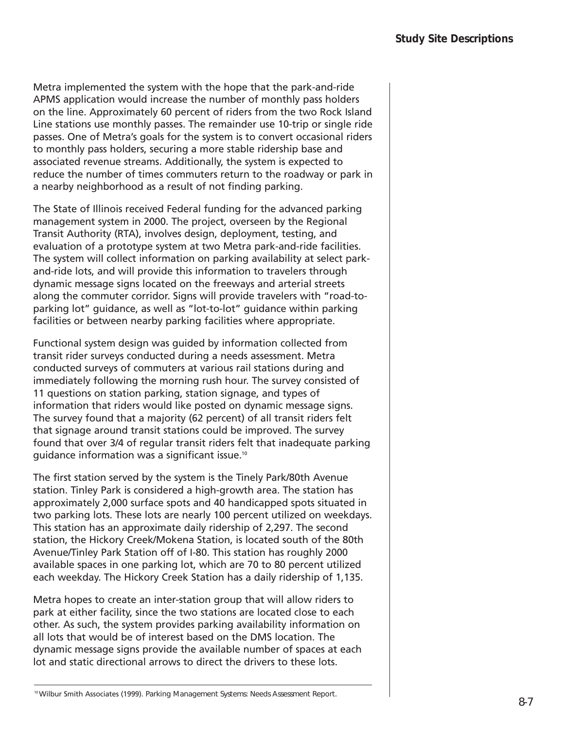Metra implemented the system with the hope that the park-and-ride APMS application would increase the number of monthly pass holders on the line. Approximately 60 percent of riders from the two Rock Island Line stations use monthly passes. The remainder use 10-trip or single ride passes. One of Metra's goals for the system is to convert occasional riders to monthly pass holders, securing a more stable ridership base and associated revenue streams. Additionally, the system is expected to reduce the number of times commuters return to the roadway or park in a nearby neighborhood as a result of not finding parking.

The State of Illinois received Federal funding for the advanced parking management system in 2000. The project, overseen by the Regional Transit Authority (RTA), involves design, deployment, testing, and evaluation of a prototype system at two Metra park-and-ride facilities. The system will collect information on parking availability at select parkand-ride lots, and will provide this information to travelers through dynamic message signs located on the freeways and arterial streets along the commuter corridor. Signs will provide travelers with "road-toparking lot" guidance, as well as "lot-to-lot" guidance within parking facilities or between nearby parking facilities where appropriate.

Functional system design was guided by information collected from transit rider surveys conducted during a needs assessment. Metra conducted surveys of commuters at various rail stations during and immediately following the morning rush hour. The survey consisted of 11 questions on station parking, station signage, and types of information that riders would like posted on dynamic message signs. The survey found that a majority (62 percent) of all transit riders felt that signage around transit stations could be improved. The survey found that over 3/4 of regular transit riders felt that inadequate parking guidance information was a significant issue.10

The first station served by the system is the Tinely Park/80th Avenue station. Tinley Park is considered a high-growth area. The station has approximately 2,000 surface spots and 40 handicapped spots situated in two parking lots. These lots are nearly 100 percent utilized on weekdays. This station has an approximate daily ridership of 2,297. The second station, the Hickory Creek/Mokena Station, is located south of the 80th Avenue/Tinley Park Station off of I-80. This station has roughly 2000 available spaces in one parking lot, which are 70 to 80 percent utilized each weekday. The Hickory Creek Station has a daily ridership of 1,135.

Metra hopes to create an inter-station group that will allow riders to park at either facility, since the two stations are located close to each other. As such, the system provides parking availability information on all lots that would be of interest based on the DMS location. The dynamic message signs provide the available number of spaces at each lot and static directional arrows to direct the drivers to these lots.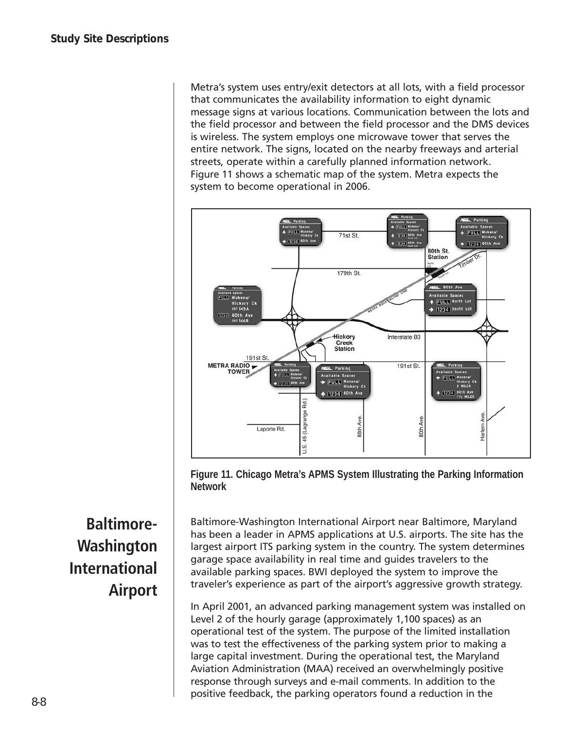Metra's system uses entry/exit detectors at all lots, with a field processor that communicates the availability information to eight dynamic message signs at various locations. Communication between the lots and the field processor and between the field processor and the DMS devices is wireless. The system employs one microwave tower that serves the entire network. The signs, located on the nearby freeways and arterial streets, operate within a carefully planned information network. Figure 11 shows a schematic map of the system. Metra expects the system to become operational in 2006.





Baltimore-Washington International Airport near Baltimore, Maryland has been a leader in APMS applications at U.S. airports. The site has the largest airport ITS parking system in the country. The system determines garage space availability in real time and guides travelers to the available parking spaces. BWI deployed the system to improve the traveler's experience as part of the airport's aggressive growth strategy.

In April 2001, an advanced parking management system was installed on Level 2 of the hourly garage (approximately 1,100 spaces) as an operational test of the system. The purpose of the limited installation was to test the effectiveness of the parking system prior to making a large capital investment. During the operational test, the Maryland Aviation Administration (MAA) received an overwhelmingly positive response through surveys and e-mail comments. In addition to the positive feedback, the parking operators found a reduction in the

**Baltimore-Washington International Airport**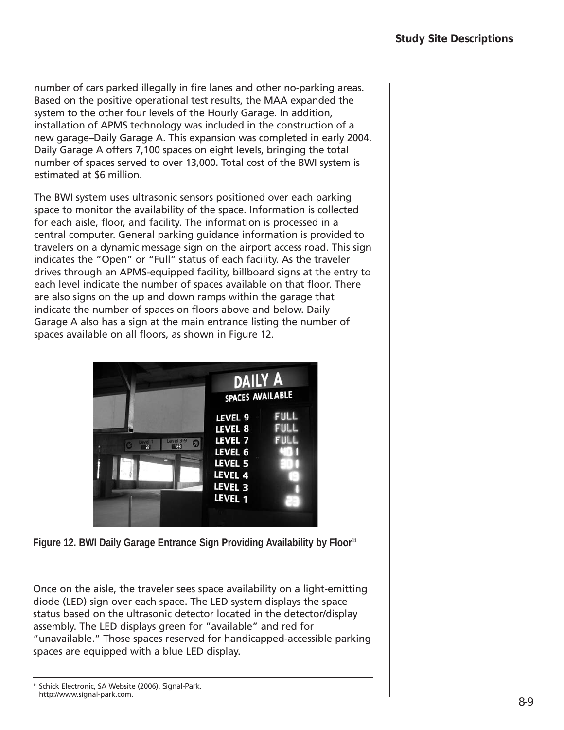number of cars parked illegally in fire lanes and other no-parking areas. Based on the positive operational test results, the MAA expanded the system to the other four levels of the Hourly Garage. In addition, installation of APMS technology was included in the construction of a new garage–Daily Garage A. This expansion was completed in early 2004. Daily Garage A offers 7,100 spaces on eight levels, bringing the total number of spaces served to over 13,000. Total cost of the BWI system is estimated at \$6 million.

The BWI system uses ultrasonic sensors positioned over each parking space to monitor the availability of the space. Information is collected for each aisle, floor, and facility. The information is processed in a central computer. General parking guidance information is provided to travelers on a dynamic message sign on the airport access road. This sign indicates the "Open" or "Full" status of each facility. As the traveler drives through an APMS-equipped facility, billboard signs at the entry to each level indicate the number of spaces available on that floor. There are also signs on the up and down ramps within the garage that indicate the number of spaces on floors above and below. Daily Garage A also has a sign at the main entrance listing the number of spaces available on all floors, as shown in Figure 12.

|                                                   | <b>DAILY A</b><br><b>SPACES AVAILABLE</b>                                                       |                             |  |
|---------------------------------------------------|-------------------------------------------------------------------------------------------------|-----------------------------|--|
| Level 3-9<br>Level <sup>1</sup><br>Я<br>123<br>55 | LEVEL 9<br>LEVEL 8<br>LEVEL <sub>7</sub><br>LEVEL 6<br>LEVEL 5<br>LEVEL 4<br>LEVEL 3<br>LEVEL 1 | <b>FULL</b><br>FULL<br>FULL |  |

Figure 12. BWI Daily Garage Entrance Sign Providing Availability by Floor<sup>11</sup>

Once on the aisle, the traveler sees space availability on a light-emitting diode (LED) sign over each space. The LED system displays the space status based on the ultrasonic detector located in the detector/display assembly. The LED displays green for "available" and red for "unavailable." Those spaces reserved for handicapped-accessible parking spaces are equipped with a blue LED display.

<sup>11</sup> Schick Electronic, SA Website (2006). *Signal-Park.* http://www.signal-park.com.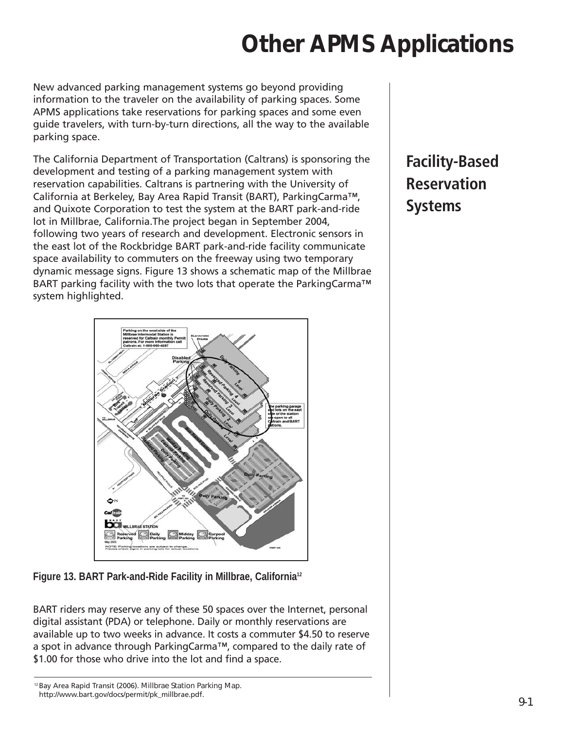## **Other APMS Applications**

New advanced parking management systems go beyond providing information to the traveler on the availability of parking spaces. Some APMS applications take reservations for parking spaces and some even guide travelers, with turn-by-turn directions, all the way to the available parking space.

The California Department of Transportation (Caltrans) is sponsoring the development and testing of a parking management system with reservation capabilities. Caltrans is partnering with the University of California at Berkeley, Bay Area Rapid Transit (BART), ParkingCarma™, and Quixote Corporation to test the system at the BART park-and-ride lot in Millbrae, California.The project began in September 2004, following two years of research and development. Electronic sensors in the east lot of the Rockbridge BART park-and-ride facility communicate space availability to commuters on the freeway using two temporary dynamic message signs. Figure 13 shows a schematic map of the Millbrae BART parking facility with the two lots that operate the ParkingCarma™ system highlighted.

## **Facility-Based Reservation Systems**



**Figure 13. BART Park-and-Ride Facility in Millbrae, California12**

BART riders may reserve any of these 50 spaces over the Internet, personal digital assistant (PDA) or telephone. Daily or monthly reservations are available up to two weeks in advance. It costs a commuter \$4.50 to reserve a spot in advance through ParkingCarma™, compared to the daily rate of \$1.00 for those who drive into the lot and find a space.

<sup>12</sup> Bay Area Rapid Transit (2006). *Millbrae Station Parking Map.* http://www.bart.gov/docs/permit/pk\_millbrae.pdf.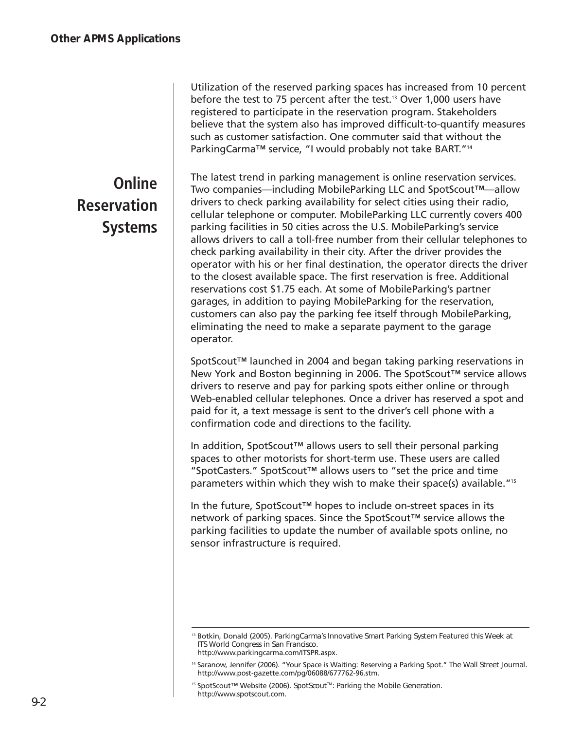### **Online Reservation Systems**

Utilization of the reserved parking spaces has increased from 10 percent before the test to 75 percent after the test.<sup>13</sup> Over 1,000 users have registered to participate in the reservation program. Stakeholders believe that the system also has improved difficult-to-quantify measures such as customer satisfaction. One commuter said that without the ParkingCarma™ service, "I would probably not take BART."<sup>14</sup>

The latest trend in parking management is online reservation services. Two companies—including MobileParking LLC and SpotScout™—allow drivers to check parking availability for select cities using their radio, cellular telephone or computer. MobileParking LLC currently covers 400 parking facilities in 50 cities across the U.S. MobileParking's service allows drivers to call a toll-free number from their cellular telephones to check parking availability in their city. After the driver provides the operator with his or her final destination, the operator directs the driver to the closest available space. The first reservation is free. Additional reservations cost \$1.75 each. At some of MobileParking's partner garages, in addition to paying MobileParking for the reservation, customers can also pay the parking fee itself through MobileParking, eliminating the need to make a separate payment to the garage operator.

SpotScout™ launched in 2004 and began taking parking reservations in New York and Boston beginning in 2006. The SpotScout™ service allows drivers to reserve and pay for parking spots either online or through Web-enabled cellular telephones. Once a driver has reserved a spot and paid for it, a text message is sent to the driver's cell phone with a confirmation code and directions to the facility.

In addition, SpotScout™ allows users to sell their personal parking spaces to other motorists for short-term use. These users are called "SpotCasters." SpotScout™ allows users to "set the price and time parameters within which they wish to make their space(s) available."15

In the future, SpotScout™ hopes to include on-street spaces in its network of parking spaces. Since the SpotScout™ service allows the parking facilities to update the number of available spots online, no sensor infrastructure is required.

<sup>13</sup> Botkin, Donald (2005). *ParkingCarma's Innovative Smart Parking System Featured this Week at ITS World Congress in San Francisco.* http://www.parkingcarma.com/ITSPR.aspx.

<sup>14</sup> Saranow, Jennifer (2006). "Your Space is Waiting: Reserving a Parking Spot." *The Wall Street Journal.*  http://www.post-gazette.com/pg/06088/677762-96.stm.

<sup>&</sup>lt;sup>15</sup> SpotScout™ Website (2006). *SpotScout™: Parking the Mobile Generation.* http://www.spotscout.com.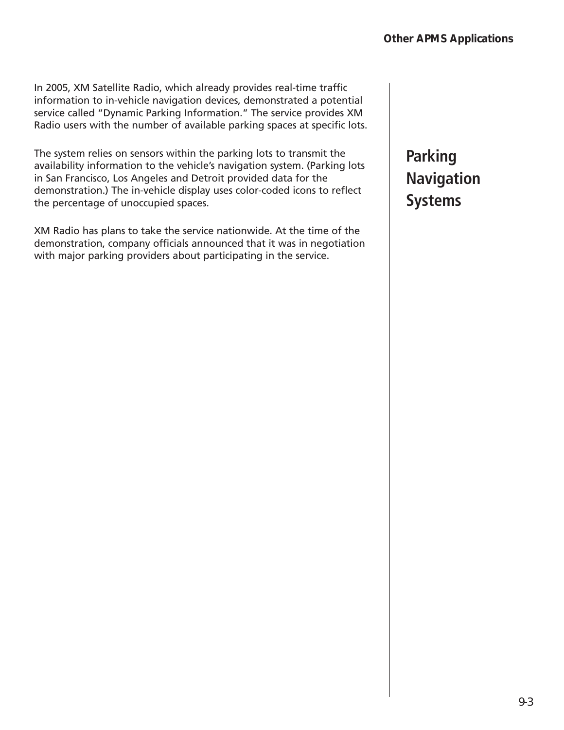In 2005, XM Satellite Radio, which already provides real-time traffic information to in-vehicle navigation devices, demonstrated a potential service called "Dynamic Parking Information." The service provides XM Radio users with the number of available parking spaces at specific lots.

The system relies on sensors within the parking lots to transmit the availability information to the vehicle's navigation system. (Parking lots in San Francisco, Los Angeles and Detroit provided data for the demonstration.) The in-vehicle display uses color-coded icons to reflect the percentage of unoccupied spaces.

XM Radio has plans to take the service nationwide. At the time of the demonstration, company officials announced that it was in negotiation with major parking providers about participating in the service.

### **Parking Navigation Systems**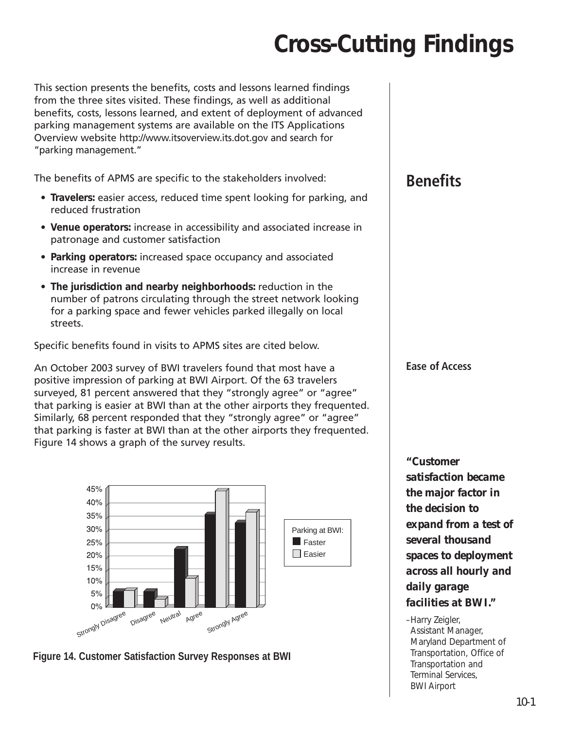## **Cross-Cutting Findings**

This section presents the benefits, costs and lessons learned findings from the three sites visited. These findings, as well as additional benefits, costs, lessons learned, and extent of deployment of advanced parking management systems are available on the ITS Applications Overview website http://www.itsoverview.its.dot.gov and search for "parking management."

The benefits of APMS are specific to the stakeholders involved:

- **Travelers:** easier access, reduced time spent looking for parking, and reduced frustration
- **Venue operators:** increase in accessibility and associated increase in patronage and customer satisfaction
- **Parking operators:** increased space occupancy and associated increase in revenue
- **The jurisdiction and nearby neighborhoods:** reduction in the number of patrons circulating through the street network looking for a parking space and fewer vehicles parked illegally on local streets.

Specific benefits found in visits to APMS sites are cited below.

An October 2003 survey of BWI travelers found that most have a positive impression of parking at BWI Airport. Of the 63 travelers surveyed, 81 percent answered that they "strongly agree" or "agree" that parking is easier at BWI than at the other airports they frequented. Similarly, 68 percent responded that they "strongly agree" or "agree" that parking is faster at BWI than at the other airports they frequented. Figure 14 shows a graph of the survey results.



**Figure 14. Customer Satisfaction Survey Responses at BWI**

#### **Benefits**

**Ease of Access**

*"Customer satisfaction became the major factor in the decision to expand from a test of several thousand spaces to deployment across all hourly and daily garage facilities at BWI."*

–Harry Zeigler, Assistant Manager, Maryland Department of Transportation, Office of Transportation and Terminal Services, BWI Airport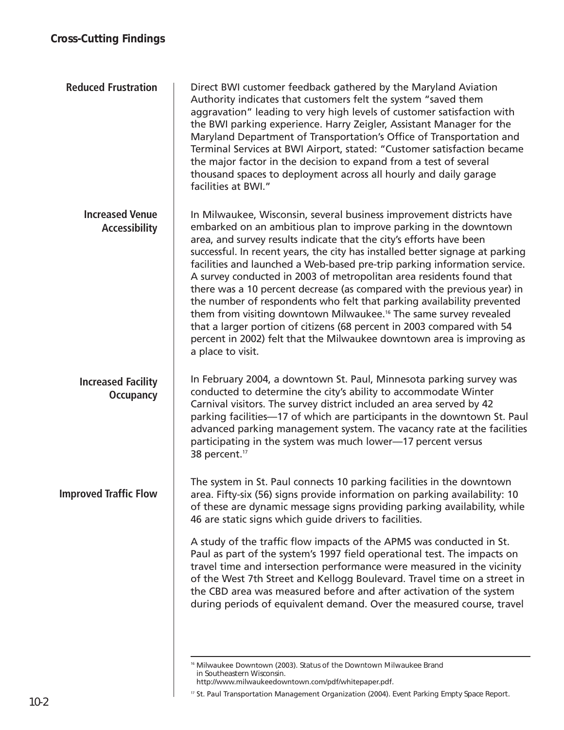| <b>Reduced Frustration</b>                     | Direct BWI customer feedback gathered by the Maryland Aviation<br>Authority indicates that customers felt the system "saved them<br>aggravation" leading to very high levels of customer satisfaction with<br>the BWI parking experience. Harry Zeigler, Assistant Manager for the<br>Maryland Department of Transportation's Office of Transportation and<br>Terminal Services at BWI Airport, stated: "Customer satisfaction became<br>the major factor in the decision to expand from a test of several<br>thousand spaces to deployment across all hourly and daily garage<br>facilities at BWI."                                                                                                                                                                                                                                                                |
|------------------------------------------------|----------------------------------------------------------------------------------------------------------------------------------------------------------------------------------------------------------------------------------------------------------------------------------------------------------------------------------------------------------------------------------------------------------------------------------------------------------------------------------------------------------------------------------------------------------------------------------------------------------------------------------------------------------------------------------------------------------------------------------------------------------------------------------------------------------------------------------------------------------------------|
| <b>Increased Venue</b><br><b>Accessibility</b> | In Milwaukee, Wisconsin, several business improvement districts have<br>embarked on an ambitious plan to improve parking in the downtown<br>area, and survey results indicate that the city's efforts have been<br>successful. In recent years, the city has installed better signage at parking<br>facilities and launched a Web-based pre-trip parking information service.<br>A survey conducted in 2003 of metropolitan area residents found that<br>there was a 10 percent decrease (as compared with the previous year) in<br>the number of respondents who felt that parking availability prevented<br>them from visiting downtown Milwaukee. <sup>16</sup> The same survey revealed<br>that a larger portion of citizens (68 percent in 2003 compared with 54<br>percent in 2002) felt that the Milwaukee downtown area is improving as<br>a place to visit. |
| <b>Increased Facility</b><br><b>Occupancy</b>  | In February 2004, a downtown St. Paul, Minnesota parking survey was<br>conducted to determine the city's ability to accommodate Winter<br>Carnival visitors. The survey district included an area served by 42<br>parking facilities-17 of which are participants in the downtown St. Paul<br>advanced parking management system. The vacancy rate at the facilities<br>participating in the system was much lower-17 percent versus<br>38 percent. <sup>17</sup>                                                                                                                                                                                                                                                                                                                                                                                                    |
| <b>Improved Traffic Flow</b>                   | The system in St. Paul connects 10 parking facilities in the downtown<br>area. Fifty-six (56) signs provide information on parking availability: 10<br>of these are dynamic message signs providing parking availability, while<br>46 are static signs which guide drivers to facilities.                                                                                                                                                                                                                                                                                                                                                                                                                                                                                                                                                                            |
|                                                | A study of the traffic flow impacts of the APMS was conducted in St.<br>Paul as part of the system's 1997 field operational test. The impacts on<br>travel time and intersection performance were measured in the vicinity<br>of the West 7th Street and Kellogg Boulevard. Travel time on a street in<br>the CBD area was measured before and after activation of the system<br>during periods of equivalent demand. Over the measured course, travel                                                                                                                                                                                                                                                                                                                                                                                                               |
|                                                |                                                                                                                                                                                                                                                                                                                                                                                                                                                                                                                                                                                                                                                                                                                                                                                                                                                                      |

<sup>16</sup> Milwaukee Downtown (2003). *Status of the Downtown Milwaukee Brand in Southeastern Wisconsin.*

http://www.milwaukeedowntown.com/pdf/whitepaper.pdf.

<sup>17</sup> St. Paul Transportation Management Organization (2004). *Event Parking Empty Space Report.*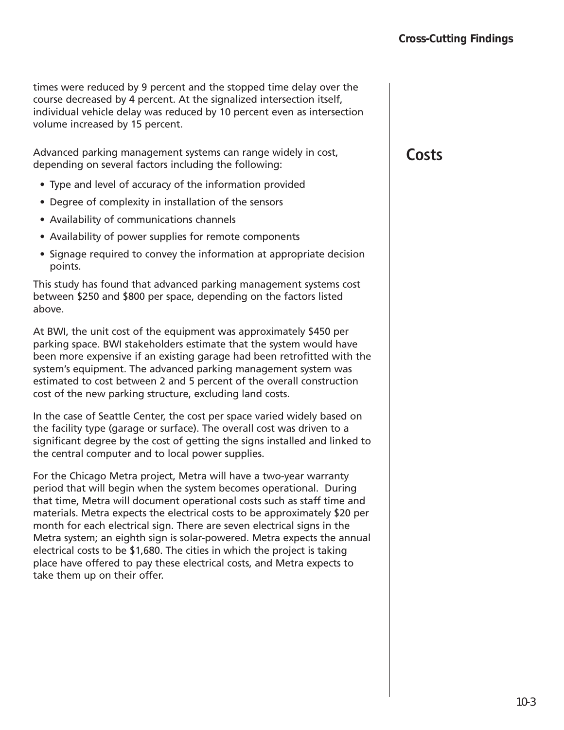times were reduced by 9 percent and the stopped time delay over the course decreased by 4 percent. At the signalized intersection itself, individual vehicle delay was reduced by 10 percent even as intersection volume increased by 15 percent.

Advanced parking management systems can range widely in cost, depending on several factors including the following:

- Type and level of accuracy of the information provided
- Degree of complexity in installation of the sensors
- Availability of communications channels
- Availability of power supplies for remote components
- Signage required to convey the information at appropriate decision points.

This study has found that advanced parking management systems cost between \$250 and \$800 per space, depending on the factors listed above.

At BWI, the unit cost of the equipment was approximately \$450 per parking space. BWI stakeholders estimate that the system would have been more expensive if an existing garage had been retrofitted with the system's equipment. The advanced parking management system was estimated to cost between 2 and 5 percent of the overall construction cost of the new parking structure, excluding land costs.

In the case of Seattle Center, the cost per space varied widely based on the facility type (garage or surface). The overall cost was driven to a significant degree by the cost of getting the signs installed and linked to the central computer and to local power supplies.

For the Chicago Metra project, Metra will have a two-year warranty period that will begin when the system becomes operational. During that time, Metra will document operational costs such as staff time and materials. Metra expects the electrical costs to be approximately \$20 per month for each electrical sign. There are seven electrical signs in the Metra system; an eighth sign is solar-powered. Metra expects the annual electrical costs to be \$1,680. The cities in which the project is taking place have offered to pay these electrical costs, and Metra expects to take them up on their offer.

#### **Costs**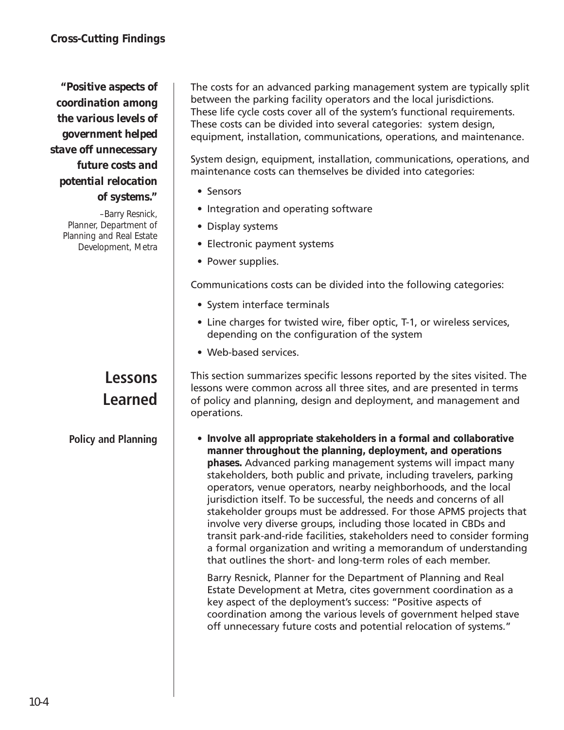#### *"Positive aspects of coordination among the various levels of government helped stave off unnecessary future costs and potential relocation of systems."*

–Barry Resnick, Planner, Department of Planning and Real Estate Development, Metra

#### **Lessons Learned**

**Policy and Planning**

The costs for an advanced parking management system are typically split between the parking facility operators and the local jurisdictions. These life cycle costs cover all of the system's functional requirements. These costs can be divided into several categories: system design, equipment, installation, communications, operations, and maintenance.

System design, equipment, installation, communications, operations, and maintenance costs can themselves be divided into categories:

- Sensors
- Integration and operating software
- Display systems
- Electronic payment systems
- Power supplies.

Communications costs can be divided into the following categories:

- System interface terminals
- Line charges for twisted wire, fiber optic, T-1, or wireless services, depending on the configuration of the system
- Web-based services.

This section summarizes specific lessons reported by the sites visited. The lessons were common across all three sites, and are presented in terms of policy and planning, design and deployment, and management and operations.

• **Involve all appropriate stakeholders in a formal and collaborative manner throughout the planning, deployment, and operations phases.** Advanced parking management systems will impact many stakeholders, both public and private, including travelers, parking operators, venue operators, nearby neighborhoods, and the local jurisdiction itself. To be successful, the needs and concerns of all stakeholder groups must be addressed. For those APMS projects that involve very diverse groups, including those located in CBDs and transit park-and-ride facilities, stakeholders need to consider forming a formal organization and writing a memorandum of understanding that outlines the short- and long-term roles of each member.

Barry Resnick, Planner for the Department of Planning and Real Estate Development at Metra, cites government coordination as a key aspect of the deployment's success: "Positive aspects of coordination among the various levels of government helped stave off unnecessary future costs and potential relocation of systems."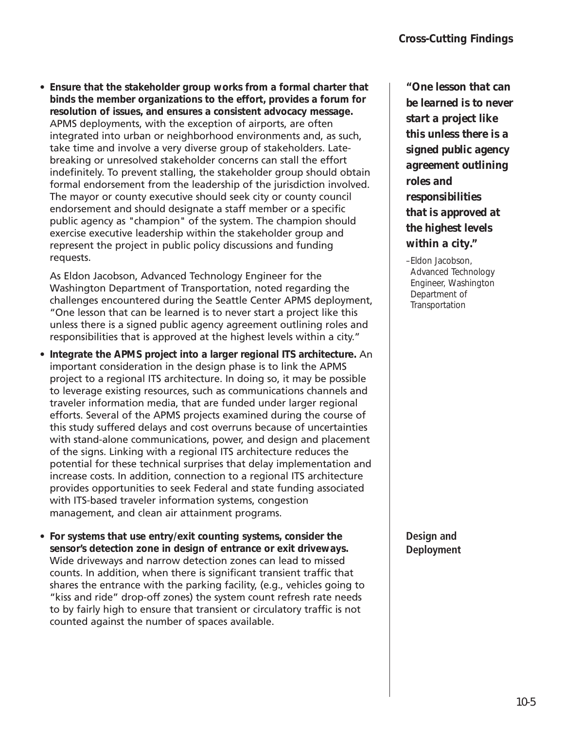• **Ensure that the stakeholder group works from a formal charter that binds the member organizations to the effort, provides a forum for resolution of issues, and ensures a consistent advocacy message.** APMS deployments, with the exception of airports, are often integrated into urban or neighborhood environments and, as such, take time and involve a very diverse group of stakeholders. Latebreaking or unresolved stakeholder concerns can stall the effort indefinitely. To prevent stalling, the stakeholder group should obtain formal endorsement from the leadership of the jurisdiction involved. The mayor or county executive should seek city or county council endorsement and should designate a staff member or a specific public agency as "champion" of the system. The champion should exercise executive leadership within the stakeholder group and represent the project in public policy discussions and funding requests.

As Eldon Jacobson, Advanced Technology Engineer for the Washington Department of Transportation, noted regarding the challenges encountered during the Seattle Center APMS deployment, "One lesson that can be learned is to never start a project like this unless there is a signed public agency agreement outlining roles and responsibilities that is approved at the highest levels within a city."

- **Integrate the APMS project into a larger regional ITS architecture.** An important consideration in the design phase is to link the APMS project to a regional ITS architecture. In doing so, it may be possible to leverage existing resources, such as communications channels and traveler information media, that are funded under larger regional efforts. Several of the APMS projects examined during the course of this study suffered delays and cost overruns because of uncertainties with stand-alone communications, power, and design and placement of the signs. Linking with a regional ITS architecture reduces the potential for these technical surprises that delay implementation and increase costs. In addition, connection to a regional ITS architecture provides opportunities to seek Federal and state funding associated with ITS-based traveler information systems, congestion management, and clean air attainment programs.
- **For systems that use entry/exit counting systems, consider the sensor's detection zone in design of entrance or exit driveways.** Wide driveways and narrow detection zones can lead to missed counts. In addition, when there is significant transient traffic that shares the entrance with the parking facility, (e.g., vehicles going to "kiss and ride" drop-off zones) the system count refresh rate needs to by fairly high to ensure that transient or circulatory traffic is not counted against the number of spaces available.

*"One lesson that can be learned is to never start a project like this unless there is a signed public agency agreement outlining roles and responsibilities that is approved at the highest levels within a city."*

–Eldon Jacobson, Advanced Technology Engineer, Washington Department of **Transportation** 

**Design and Deployment**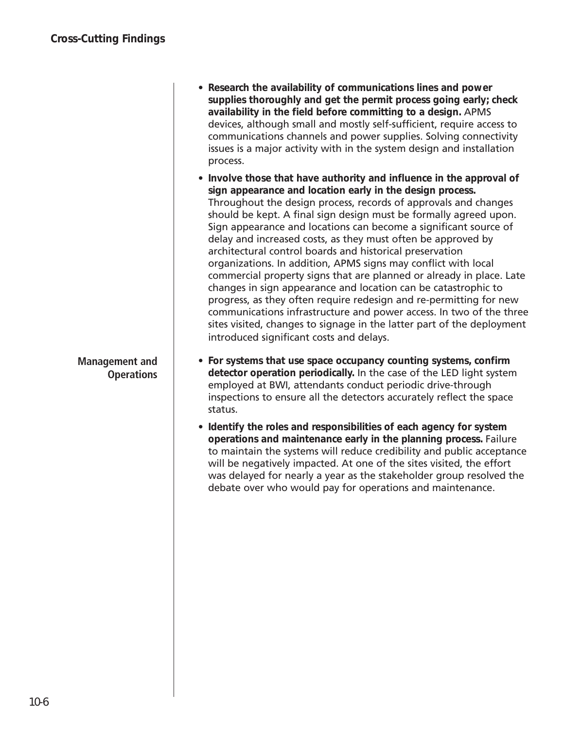| • Research the availability of communications lines and power         |
|-----------------------------------------------------------------------|
| supplies thoroughly and get the permit process going early; check     |
| availability in the field before committing to a design. APMS         |
| devices, although small and mostly self-sufficient, require access to |
| communications channels and power supplies. Solving connectivity      |
| issues is a major activity with in the system design and installation |
| process.                                                              |

- **Involve those that have authority and influence in the approval of sign appearance and location early in the design process.** Throughout the design process, records of approvals and changes should be kept. A final sign design must be formally agreed upon. Sign appearance and locations can become a significant source of delay and increased costs, as they must often be approved by architectural control boards and historical preservation organizations. In addition, APMS signs may conflict with local commercial property signs that are planned or already in place. Late changes in sign appearance and location can be catastrophic to progress, as they often require redesign and re-permitting for new communications infrastructure and power access. In two of the three sites visited, changes to signage in the latter part of the deployment introduced significant costs and delays.
- **For systems that use space occupancy counting systems, confirm detector operation periodically.** In the case of the LED light system employed at BWI, attendants conduct periodic drive-through inspections to ensure all the detectors accurately reflect the space status.
- **Identify the roles and responsibilities of each agency for system operations and maintenance early in the planning process.** Failure to maintain the systems will reduce credibility and public acceptance will be negatively impacted. At one of the sites visited, the effort was delayed for nearly a year as the stakeholder group resolved the debate over who would pay for operations and maintenance.

**Management and Operations**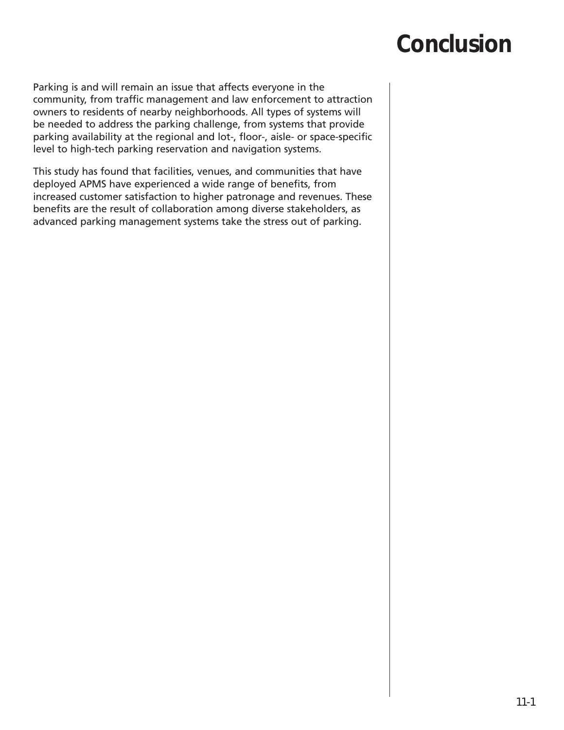## **Conclusion**

Parking is and will remain an issue that affects everyone in the community, from traffic management and law enforcement to attraction owners to residents of nearby neighborhoods. All types of systems will be needed to address the parking challenge, from systems that provide parking availability at the regional and lot-, floor-, aisle- or space-specific level to high-tech parking reservation and navigation systems.

This study has found that facilities, venues, and communities that have deployed APMS have experienced a wide range of benefits, from increased customer satisfaction to higher patronage and revenues. These benefits are the result of collaboration among diverse stakeholders, as advanced parking management systems take the stress out of parking.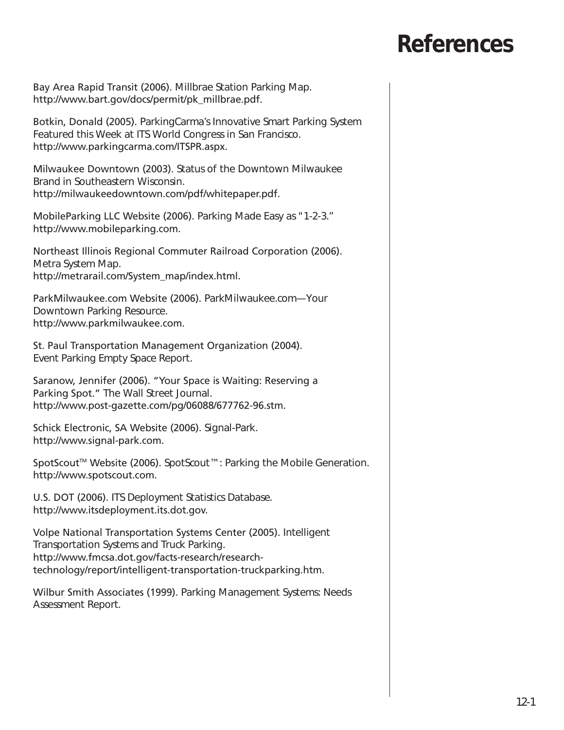## **References**

Bay Area Rapid Transit (2006). *Millbrae Station Parking Map.* http://www.bart.gov/docs/permit/pk\_millbrae.pdf.

Botkin, Donald (2005). *ParkingCarma's Innovative Smart Parking System Featured this Week at ITS World Congress in San Francisco.* http://www.parkingcarma.com/ITSPR.aspx.

Milwaukee Downtown (2003). *Status of the Downtown Milwaukee Brand in Southeastern Wisconsin.* http://milwaukeedowntown.com/pdf/whitepaper.pdf.

MobileParking LLC Website (2006). *Parking Made Easy as "1-2-3."* http://www.mobileparking.com.

Northeast Illinois Regional Commuter Railroad Corporation (2006). *Metra System Map.* http://metrarail.com/System\_map/index.html.

ParkMilwaukee.com Website (2006). *ParkMilwaukee.com—Your Downtown Parking Resource.* http://www.parkmilwaukee.com.

St. Paul Transportation Management Organization (2004). *Event Parking Empty Space Report.* 

Saranow, Jennifer (2006). "Your Space is Waiting: Reserving a Parking Spot." *The Wall Street Journal.* http://www.post-gazette.com/pg/06088/677762-96.stm.

Schick Electronic, SA Website (2006). *Signal-Park.* http://www.signal-park.com.

SpotScout<sup>™</sup> Website (2006). *SpotScout™: Parking the Mobile Generation.* http://www.spotscout.com.

U.S. DOT (2006). *ITS Deployment Statistics Database*. http://www.itsdeployment.its.dot.gov.

Volpe National Transportation Systems Center (2005). *Intelligent Transportation Systems and Truck Parking.* http://www.fmcsa.dot.gov/facts-research/researchtechnology/report/intelligent-transportation-truckparking.htm.

Wilbur Smith Associates (1999). *Parking Management Systems: Needs Assessment Report*.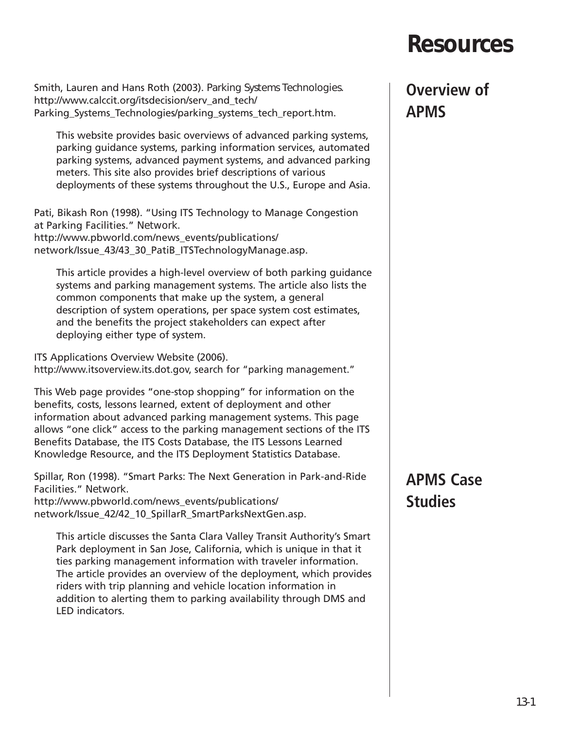## **Resources**

Smith, Lauren and Hans Roth (2003). *Parking Systems Technologies.* http://www.calccit.org/itsdecision/serv\_and\_tech/ Parking Systems Technologies/parking systems tech report.htm.

This website provides basic overviews of advanced parking systems, parking guidance systems, parking information services, automated parking systems, advanced payment systems, and advanced parking meters. This site also provides brief descriptions of various deployments of these systems throughout the U.S., Europe and Asia.

Pati, Bikash Ron (1998). "Using ITS Technology to Manage Congestion at Parking Facilities." *Network.* http://www.pbworld.com/news\_events/publications/ network/Issue 43/43 30 PatiB ITSTechnologyManage.asp.

This article provides a high-level overview of both parking guidance systems and parking management systems. The article also lists the common components that make up the system, a general description of system operations, per space system cost estimates, and the benefits the project stakeholders can expect after deploying either type of system.

ITS Applications Overview Website (2006). http://www.itsoverview.its.dot.gov, search for "parking management."

This Web page provides "one-stop shopping" for information on the benefits, costs, lessons learned, extent of deployment and other information about advanced parking management systems. This page allows "one click" access to the parking management sections of the ITS Benefits Database, the ITS Costs Database, the ITS Lessons Learned Knowledge Resource, and the ITS Deployment Statistics Database.

Spillar, Ron (1998). "Smart Parks: The Next Generation in Park-and-Ride Facilities." *Network.*

http://www.pbworld.com/news\_events/publications/ network/Issue\_42/42\_10\_SpillarR\_SmartParksNextGen.asp.

This article discusses the Santa Clara Valley Transit Authority's Smart Park deployment in San Jose, California, which is unique in that it ties parking management information with traveler information. The article provides an overview of the deployment, which provides riders with trip planning and vehicle location information in addition to alerting them to parking availability through DMS and LED indicators.

### **Overview of APMS**

### **APMS Case Studies**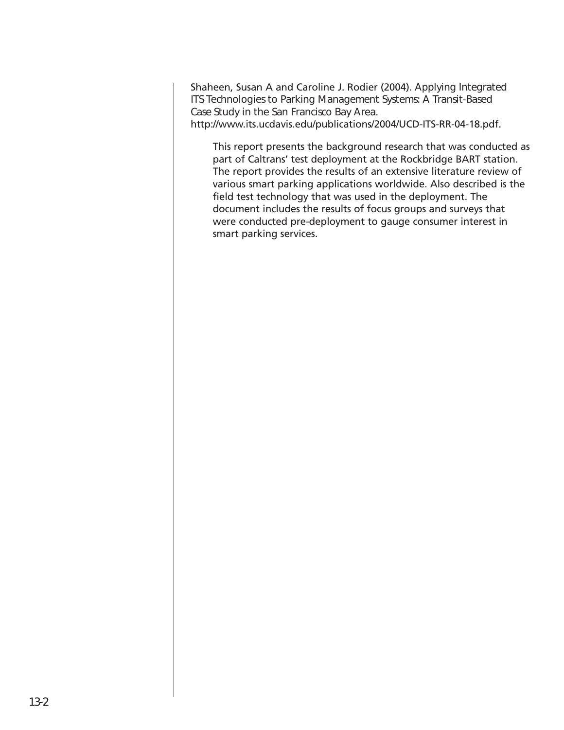Shaheen, Susan A and Caroline J. Rodier (2004). *Applying Integrated ITS Technologies to Parking Management Systems: A Transit-Based Case Study in the San Francisco Bay Area.* http://www.its.ucdavis.edu/publications/2004/UCD-ITS-RR-04-18.pdf.

This report presents the background research that was conducted as part of Caltrans' test deployment at the Rockbridge BART station. The report provides the results of an extensive literature review of various smart parking applications worldwide. Also described is the field test technology that was used in the deployment. The document includes the results of focus groups and surveys that were conducted pre-deployment to gauge consumer interest in smart parking services.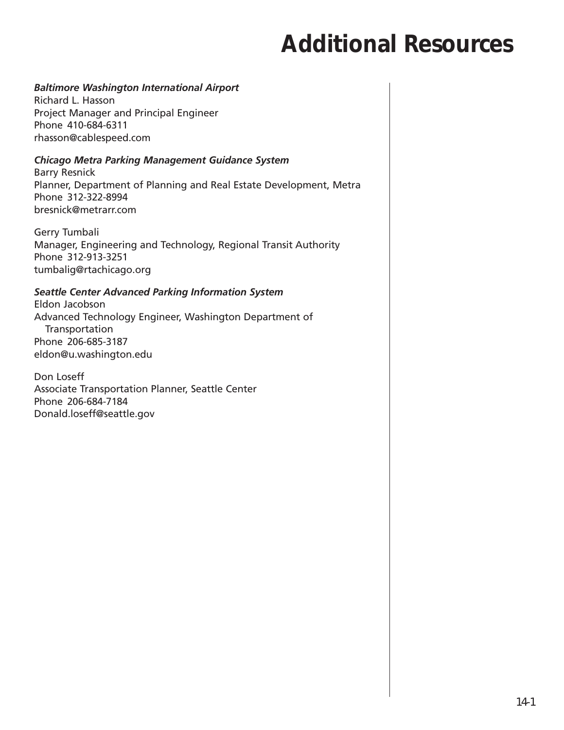## **Additional Resources**

#### *Baltimore Washington International Airport*

Richard L. Hasson Project Manager and Principal Engineer Phone 410-684-6311 rhasson@cablespeed.com

#### *Chicago Metra Parking Management Guidance System*

Barry Resnick Planner, Department of Planning and Real Estate Development, Metra Phone 312-322-8994 bresnick@metrarr.com

Gerry Tumbali Manager, Engineering and Technology, Regional Transit Authority Phone 312-913-3251 tumbalig@rtachicago.org

#### *Seattle Center Advanced Parking Information System*

Eldon Jacobson Advanced Technology Engineer, Washington Department of Transportation Phone 206-685-3187 eldon@u.washington.edu

Don Loseff Associate Transportation Planner, Seattle Center Phone 206-684-7184 Donald.loseff@seattle.gov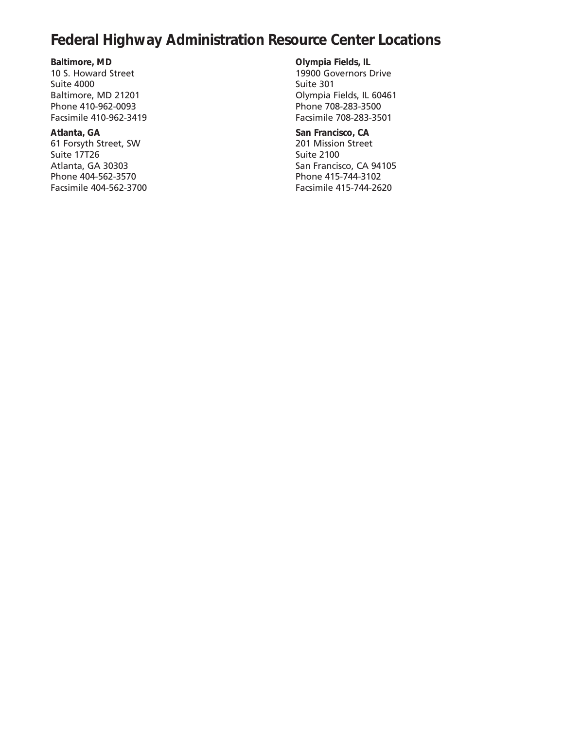#### **Federal Highway Administration Resource Center Locations**

**Baltimore, MD** 10 S. Howard Street Suite 4000 Baltimore, MD 21201 Phone 410-962-0093 Facsimile 410-962-3419

**Atlanta, GA** 61 Forsyth Street, SW Suite 17T26 Atlanta, GA 30303 Phone 404-562-3570 Facsimile 404-562-3700 **Olympia Fields, IL** 19900 Governors Drive Suite 301 Olympia Fields, IL 60461 Phone 708-283-3500 Facsimile 708-283-3501

**San Francisco, CA** 201 Mission Street Suite 2100 San Francisco, CA 94105 Phone 415-744-3102 Facsimile 415-744-2620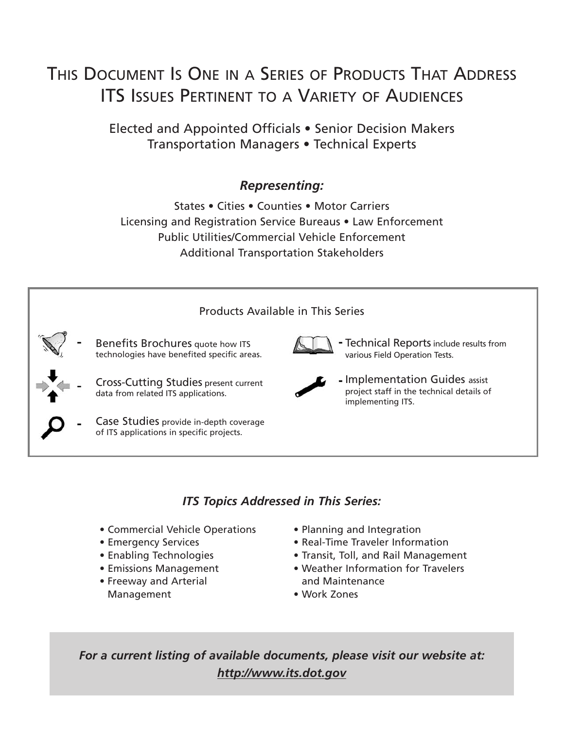### THIS DOCUMENT IS ONE IN A SERIES OF PRODUCTS THAT ADDRESS ITS ISSUES PERTINENT TO A VARIETY OF AUDIENCES

Elected and Appointed Officials • Senior Decision Makers Transportation Managers • Technical Experts

#### *Representing:*

States • Cities • Counties • Motor Carriers Licensing and Registration Service Bureaus • Law Enforcement Public Utilities/Commercial Vehicle Enforcement Additional Transportation Stakeholders



#### *ITS Topics Addressed in This Series:*

- Commercial Vehicle Operations
- Emergency Services
- Enabling Technologies
- Emissions Management
- Freeway and Arterial Management
- Planning and Integration
- Real-Time Traveler Information
- Transit, Toll, and Rail Management
- Weather Information for Travelers and Maintenance
- Work Zones

*For a current listing of available documents, please visit our website at: http://www.its.dot.gov*